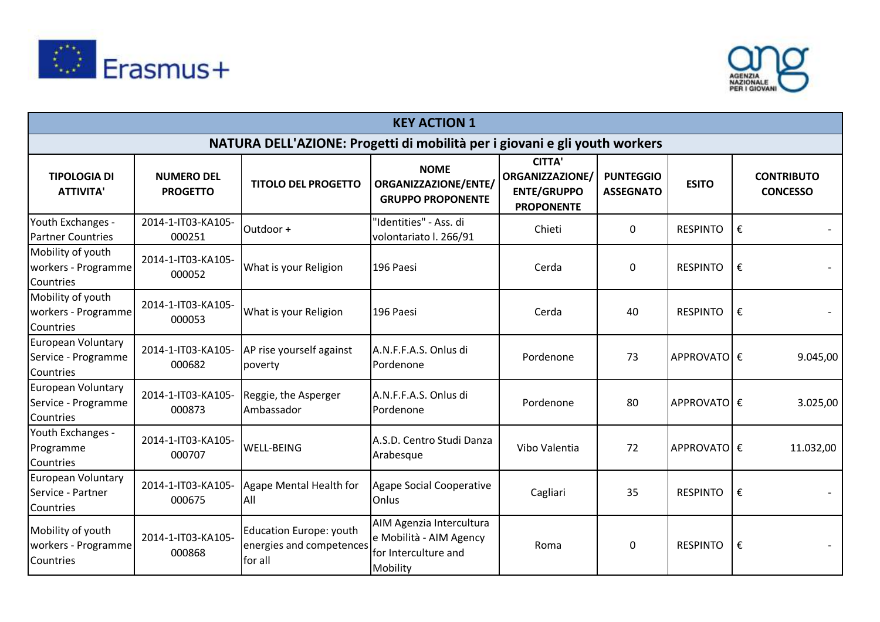



|                                                             |                                      |                                                                            | <b>KEY ACTION 1</b>                                                                     |                                                                                    |                                      |                 |   |                                      |
|-------------------------------------------------------------|--------------------------------------|----------------------------------------------------------------------------|-----------------------------------------------------------------------------------------|------------------------------------------------------------------------------------|--------------------------------------|-----------------|---|--------------------------------------|
|                                                             |                                      | NATURA DELL'AZIONE: Progetti di mobilità per i giovani e gli youth workers |                                                                                         |                                                                                    |                                      |                 |   |                                      |
| <b>TIPOLOGIA DI</b><br><b>ATTIVITA'</b>                     | <b>NUMERO DEL</b><br><b>PROGETTO</b> | <b>TITOLO DEL PROGETTO</b>                                                 | <b>NOME</b><br>ORGANIZZAZIONE/ENTE/<br><b>GRUPPO PROPONENTE</b>                         | <b>CITTA'</b><br><b>ORGANIZZAZIONE/</b><br><b>ENTE/GRUPPO</b><br><b>PROPONENTE</b> | <b>PUNTEGGIO</b><br><b>ASSEGNATO</b> | <b>ESITO</b>    |   | <b>CONTRIBUTO</b><br><b>CONCESSO</b> |
| Youth Exchanges -<br><b>Partner Countries</b>               | 2014-1-IT03-KA105-<br>000251         | Outdoor +                                                                  | "Identities" - Ass. di<br>volontariato I. 266/91                                        | Chieti                                                                             | $\mathbf{0}$                         | <b>RESPINTO</b> | € |                                      |
| Mobility of youth<br>workers - Programme<br>Countries       | 2014-1-IT03-KA105-<br>000052         | What is your Religion                                                      | 196 Paesi                                                                               | Cerda                                                                              | $\mathbf{0}$                         | <b>RESPINTO</b> | € |                                      |
| Mobility of youth<br>workers - Programme<br>Countries       | 2014-1-IT03-KA105-<br>000053         | What is your Religion                                                      | 196 Paesi                                                                               | Cerda                                                                              | 40                                   | <b>RESPINTO</b> | € |                                      |
| European Voluntary<br>Service - Programme<br>Countries      | 2014-1-IT03-KA105-<br>000682         | AP rise yourself against<br>poverty                                        | A.N.F.F.A.S. Onlus di<br>Pordenone                                                      | Pordenone                                                                          | 73                                   | APPROVATO €     |   | 9.045,00                             |
| European Voluntary<br>Service - Programme<br>Countries      | 2014-1-IT03-KA105-<br>000873         | Reggie, the Asperger<br>Ambassador                                         | A.N.F.F.A.S. Onlus di<br>Pordenone                                                      | Pordenone                                                                          | 80                                   | APPROVATOE€     |   | 3.025,00                             |
| Youth Exchanges -<br>Programme<br>Countries                 | 2014-1-IT03-KA105-<br>000707         | <b>WELL-BEING</b>                                                          | A.S.D. Centro Studi Danza<br>Arabesque                                                  | Vibo Valentia                                                                      | 72                                   | APPROVATO €     |   | 11.032,00                            |
| <b>European Voluntary</b><br>Service - Partner<br>Countries | 2014-1-IT03-KA105-<br>000675         | Agape Mental Health for<br>All                                             | <b>Agape Social Cooperative</b><br>Onlus                                                | Cagliari                                                                           | 35                                   | <b>RESPINTO</b> | € |                                      |
| Mobility of youth<br>workers - Programme<br>Countries       | 2014-1-IT03-KA105-<br>000868         | Education Europe: youth<br>energies and competences<br>for all             | AIM Agenzia Intercultura<br>e Mobilità - AIM Agency<br>for Interculture and<br>Mobility | Roma                                                                               | $\mathbf 0$                          | <b>RESPINTO</b> | € |                                      |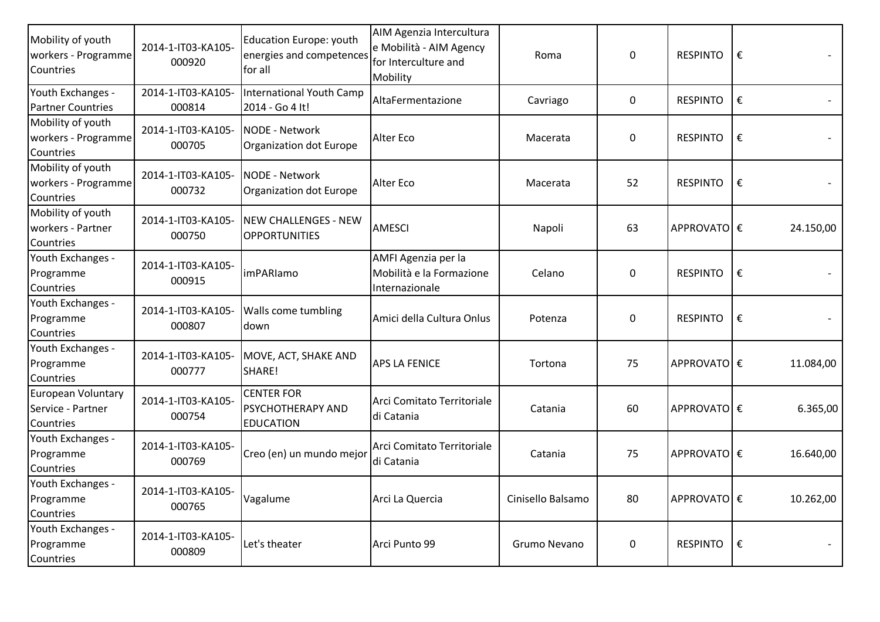| Mobility of youth<br>workers - Programme<br>Countries | 2014-1-IT03-KA105-<br>000920 | Education Europe: youth<br>energies and competences<br>for all | AIM Agenzia Intercultura<br>e Mobilità - AIM Agency<br>for Interculture and<br>Mobility | Roma              | $\mathbf 0$ | <b>RESPINTO</b> | € |           |
|-------------------------------------------------------|------------------------------|----------------------------------------------------------------|-----------------------------------------------------------------------------------------|-------------------|-------------|-----------------|---|-----------|
| Youth Exchanges -<br><b>Partner Countries</b>         | 2014-1-IT03-KA105-<br>000814 | International Youth Camp<br>2014 - Go 4 It!                    | AltaFermentazione                                                                       | Cavriago          | $\mathbf 0$ | <b>RESPINTO</b> | € |           |
| Mobility of youth<br>workers - Programme<br>Countries | 2014-1-IT03-KA105-<br>000705 | NODE - Network<br>Organization dot Europe                      | Alter Eco                                                                               | Macerata          | $\Omega$    | <b>RESPINTO</b> | € |           |
| Mobility of youth<br>workers - Programme<br>Countries | 2014-1-IT03-KA105-<br>000732 | NODE - Network<br>Organization dot Europe                      | Alter Eco                                                                               | Macerata          | 52          | <b>RESPINTO</b> | € |           |
| Mobility of youth<br>workers - Partner<br>Countries   | 2014-1-IT03-KA105-<br>000750 | NEW CHALLENGES - NEW<br><b>OPPORTUNITIES</b>                   | <b>AMESCI</b>                                                                           | Napoli            | 63          | APPROVATO €     |   | 24.150,00 |
| Youth Exchanges -<br>Programme<br>Countries           | 2014-1-IT03-KA105-<br>000915 | imPARIamo                                                      | AMFI Agenzia per la<br>Mobilità e la Formazione<br>Internazionale                       | Celano            | $\mathbf 0$ | <b>RESPINTO</b> | € |           |
| Youth Exchanges -<br>Programme<br>Countries           | 2014-1-IT03-KA105-<br>000807 | <b>Walls come tumbling</b><br>down                             | Amici della Cultura Onlus                                                               | Potenza           | $\mathbf 0$ | <b>RESPINTO</b> | € |           |
| Youth Exchanges -<br>Programme<br>Countries           | 2014-1-IT03-KA105-<br>000777 | MOVE, ACT, SHAKE AND<br>SHARE!                                 | <b>APS LA FENICE</b>                                                                    | Tortona           | 75          | APPROVATO €     |   | 11.084,00 |
| European Voluntary<br>Service - Partner<br>Countries  | 2014-1-IT03-KA105-<br>000754 | <b>CENTER FOR</b><br>PSYCHOTHERAPY AND<br><b>EDUCATION</b>     | Arci Comitato Territoriale<br>di Catania                                                | Catania           | 60          | APPROVATOE€     |   | 6.365,00  |
| Youth Exchanges -<br>Programme<br>Countries           | 2014-1-IT03-KA105-<br>000769 | Creo (en) un mundo mejor                                       | Arci Comitato Territoriale<br>di Catania                                                | Catania           | 75          | APPROVATOE€     |   | 16.640,00 |
| Youth Exchanges -<br>Programme<br>Countries           | 2014-1-IT03-KA105-<br>000765 | Vagalume                                                       | Arci La Quercia                                                                         | Cinisello Balsamo | 80          | APPROVATO €     |   | 10.262,00 |
| Youth Exchanges -<br>Programme<br>Countries           | 2014-1-IT03-KA105-<br>000809 | Let's theater                                                  | Arci Punto 99                                                                           | Grumo Nevano      | $\mathbf 0$ | <b>RESPINTO</b> | € |           |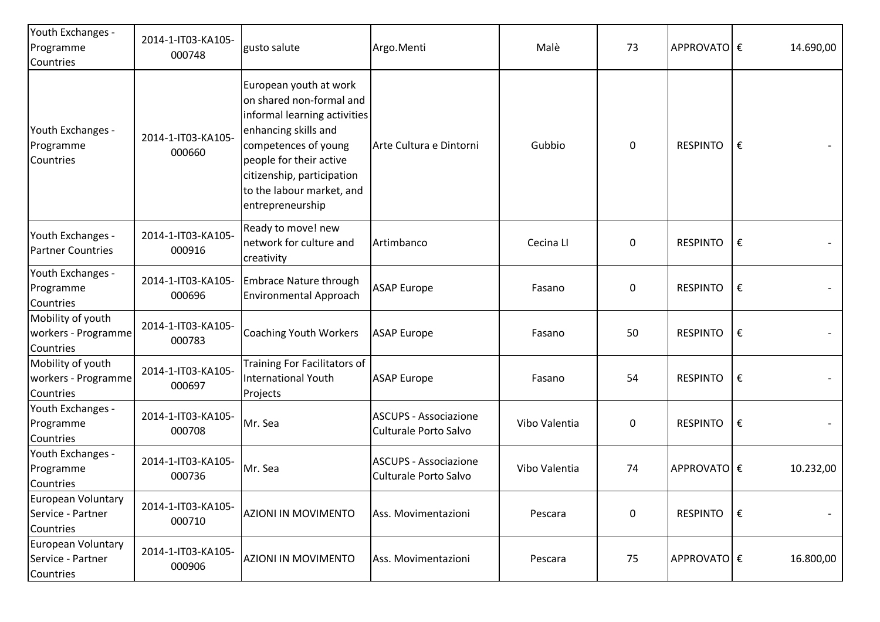| Youth Exchanges -<br>Programme<br>Countries           | 2014-1-IT03-KA105-<br>000748 | gusto salute                                                                                                                                                                                                                                 | Argo.Menti                                            | Malè          | 73               | APPROVATO €     |   | 14.690,00 |
|-------------------------------------------------------|------------------------------|----------------------------------------------------------------------------------------------------------------------------------------------------------------------------------------------------------------------------------------------|-------------------------------------------------------|---------------|------------------|-----------------|---|-----------|
| Youth Exchanges -<br>Programme<br>Countries           | 2014-1-IT03-KA105-<br>000660 | European youth at work<br>on shared non-formal and<br>informal learning activities<br>enhancing skills and<br>competences of young<br>people for their active<br>citizenship, participation<br>to the labour market, and<br>entrepreneurship | Arte Cultura e Dintorni                               | Gubbio        | $\pmb{0}$        | <b>RESPINTO</b> | € |           |
| Youth Exchanges -<br><b>Partner Countries</b>         | 2014-1-IT03-KA105-<br>000916 | Ready to move! new<br>network for culture and<br>creativity                                                                                                                                                                                  | Artimbanco                                            | Cecina Ll     | 0                | <b>RESPINTO</b> | € |           |
| Youth Exchanges -<br>Programme<br>Countries           | 2014-1-IT03-KA105-<br>000696 | <b>Embrace Nature through</b><br>Environmental Approach                                                                                                                                                                                      | <b>ASAP Europe</b>                                    | Fasano        | 0                | <b>RESPINTO</b> | € |           |
| Mobility of youth<br>workers - Programme<br>Countries | 2014-1-IT03-KA105-<br>000783 | <b>Coaching Youth Workers</b>                                                                                                                                                                                                                | <b>ASAP Europe</b>                                    | Fasano        | 50               | <b>RESPINTO</b> | € |           |
| Mobility of youth<br>workers - Programme<br>Countries | 2014-1-IT03-KA105-<br>000697 | Training For Facilitators of<br><b>International Youth</b><br>Projects                                                                                                                                                                       | <b>ASAP Europe</b>                                    | Fasano        | 54               | <b>RESPINTO</b> | € |           |
| Youth Exchanges -<br>Programme<br>Countries           | 2014-1-IT03-KA105-<br>000708 | Mr. Sea                                                                                                                                                                                                                                      | <b>ASCUPS - Associazione</b><br>Culturale Porto Salvo | Vibo Valentia | $\boldsymbol{0}$ | <b>RESPINTO</b> | € |           |
| Youth Exchanges -<br>Programme<br>Countries           | 2014-1-IT03-KA105-<br>000736 | Mr. Sea                                                                                                                                                                                                                                      | <b>ASCUPS - Associazione</b><br>Culturale Porto Salvo | Vibo Valentia | 74               | APPROVATO €     |   | 10.232,00 |
| European Voluntary<br>Service - Partner<br>Countries  | 2014-1-IT03-KA105-<br>000710 | <b>AZIONI IN MOVIMENTO</b>                                                                                                                                                                                                                   | Ass. Movimentazioni                                   | Pescara       | $\pmb{0}$        | <b>RESPINTO</b> | € |           |
| European Voluntary<br>Service - Partner<br>Countries  | 2014-1-IT03-KA105-<br>000906 | <b>AZIONI IN MOVIMENTO</b>                                                                                                                                                                                                                   | Ass. Movimentazioni                                   | Pescara       | 75               | APPROVATO €     |   | 16.800,00 |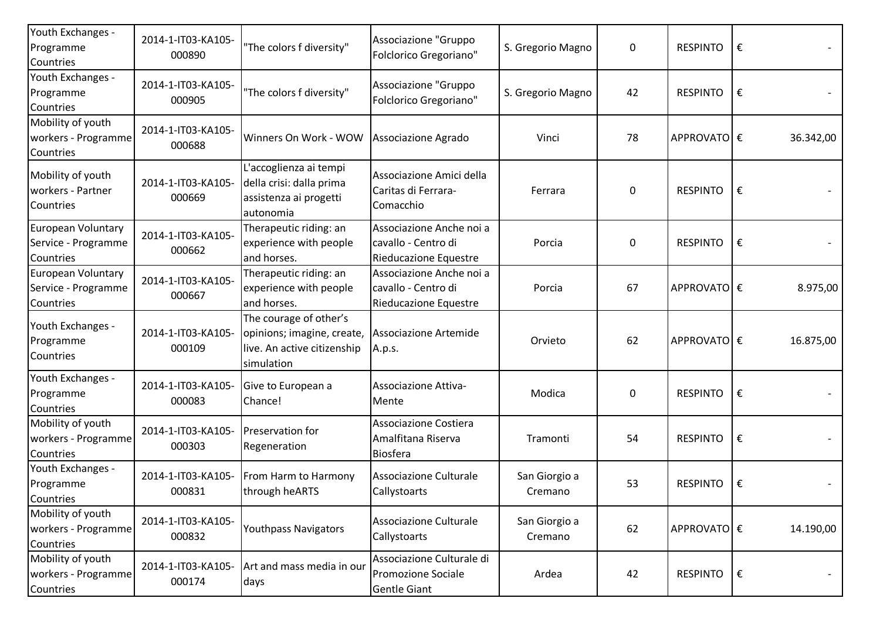| Youth Exchanges -<br>Programme<br>Countries                   | 2014-1-IT03-KA105-<br>000890 | "The colors f diversity"                                                                          | Associazione "Gruppo<br>Folclorico Gregoriano"                           | S. Gregorio Magno        | $\boldsymbol{0}$ | <b>RESPINTO</b> | €  |           |
|---------------------------------------------------------------|------------------------------|---------------------------------------------------------------------------------------------------|--------------------------------------------------------------------------|--------------------------|------------------|-----------------|----|-----------|
| Youth Exchanges -<br>Programme<br>Countries                   | 2014-1-IT03-KA105-<br>000905 | "The colors f diversity"                                                                          | Associazione "Gruppo<br>Folclorico Gregoriano"                           | S. Gregorio Magno        | 42               | <b>RESPINTO</b> | €  |           |
| Mobility of youth<br>workers - Programme<br>Countries         | 2014-1-IT03-KA105-<br>000688 | Winners On Work - WOW                                                                             | Associazione Agrado                                                      | Vinci                    | 78               | APPROVATO €     |    | 36.342,00 |
| Mobility of youth<br>workers - Partner<br>Countries           | 2014-1-IT03-KA105-<br>000669 | L'accoglienza ai tempi<br>della crisi: dalla prima<br>assistenza ai progetti<br>autonomia         | Associazione Amici della<br>Caritas di Ferrara-<br>Comacchio             | Ferrara                  | $\boldsymbol{0}$ | <b>RESPINTO</b> | €  |           |
| <b>European Voluntary</b><br>Service - Programme<br>Countries | 2014-1-IT03-KA105-<br>000662 | Therapeutic riding: an<br>experience with people<br>and horses.                                   | Associazione Anche noi a<br>cavallo - Centro di<br>Rieducazione Equestre | Porcia                   | $\boldsymbol{0}$ | <b>RESPINTO</b> | €  |           |
| European Voluntary<br>Service - Programme<br>Countries        | 2014-1-IT03-KA105-<br>000667 | Therapeutic riding: an<br>experience with people<br>and horses.                                   | Associazione Anche noi a<br>cavallo - Centro di<br>Rieducazione Equestre | Porcia                   | 67               | APPROVATO €     |    | 8.975,00  |
| Youth Exchanges -<br>Programme<br>Countries                   | 2014-1-IT03-KA105<br>000109  | The courage of other's<br>opinions; imagine, create,<br>live. An active citizenship<br>simulation | Associazione Artemide<br>A.p.s.                                          | Orvieto                  | 62               | APPROVATO €     |    | 16.875,00 |
| Youth Exchanges -<br>Programme<br>Countries                   | 2014-1-IT03-KA105-<br>000083 | Give to European a<br>Chance!                                                                     | Associazione Attiva-<br>Mente                                            | Modica                   | $\boldsymbol{0}$ | <b>RESPINTO</b> | €  |           |
| Mobility of youth<br>workers - Programme<br>Countries         | 2014-1-IT03-KA105-<br>000303 | Preservation for<br>Regeneration                                                                  | Associazione Costiera<br>Amalfitana Riserva<br>Biosfera                  | Tramonti                 | 54               | <b>RESPINTO</b> | €  |           |
| Youth Exchanges -<br>Programme<br>Countries                   | 2014-1-IT03-KA105-<br>000831 | From Harm to Harmony<br>through heARTS                                                            | Associazione Culturale<br>Callystoarts                                   | San Giorgio a<br>Cremano | 53               | RESPINTO        | €  |           |
| Mobility of youth<br>workers - Programme<br>Countries         | 2014-1-IT03-KA105-<br>000832 | <b>Youthpass Navigators</b>                                                                       | Associazione Culturale<br>Callystoarts                                   | San Giorgio a<br>Cremano | 62               | APPROVATO €     |    | 14.190,00 |
| Mobility of youth<br>workers - Programme<br>Countries         | 2014-1-IT03-KA105-<br>000174 | Art and mass media in our<br>days                                                                 | Associazione Culturale di<br>Promozione Sociale<br>Gentle Giant          | Ardea                    | 42               | <b>RESPINTO</b> | ∣€ |           |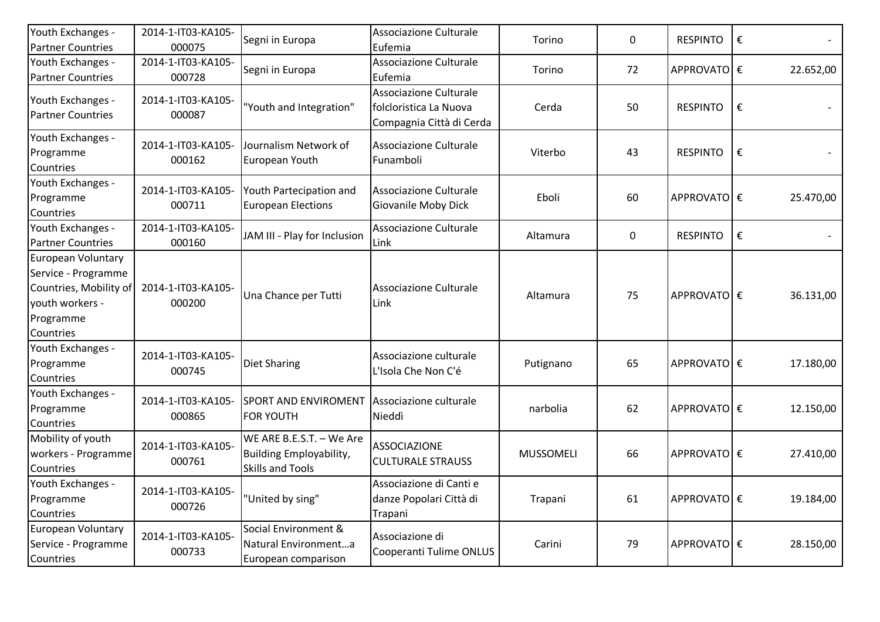| Youth Exchanges -<br><b>Partner Countries</b>                                                                    | 2014-1-IT03-KA105-<br>000075 | Segni in Europa                                                                       | Associazione Culturale<br>Eufemia                                            | Torino           | $\mathbf 0$ | <b>RESPINTO</b> | € |           |
|------------------------------------------------------------------------------------------------------------------|------------------------------|---------------------------------------------------------------------------------------|------------------------------------------------------------------------------|------------------|-------------|-----------------|---|-----------|
| Youth Exchanges -<br><b>Partner Countries</b>                                                                    | 2014-1-IT03-KA105-<br>000728 | Segni in Europa                                                                       | Associazione Culturale<br>Eufemia                                            | Torino           | 72          | APPROVATO €     |   | 22.652,00 |
| Youth Exchanges -<br><b>Partner Countries</b>                                                                    | 2014-1-IT03-KA105-<br>000087 | "Youth and Integration"                                                               | Associazione Culturale<br>folcloristica La Nuova<br>Compagnia Città di Cerda | Cerda            | 50          | <b>RESPINTO</b> | € |           |
| Youth Exchanges -<br>Programme<br>Countries                                                                      | 2014-1-IT03-KA105-<br>000162 | Journalism Network of<br>European Youth                                               | Associazione Culturale<br>Funamboli                                          | Viterbo          | 43          | <b>RESPINTO</b> | € |           |
| Youth Exchanges -<br>Programme<br>Countries                                                                      | 2014-1-IT03-KA105-<br>000711 | Youth Partecipation and<br><b>European Elections</b>                                  | Associazione Culturale<br>Giovanile Moby Dick                                | Eboli            | 60          | APPROVATO €     |   | 25.470,00 |
| Youth Exchanges -<br><b>Partner Countries</b>                                                                    | 2014-1-IT03-KA105-<br>000160 | JAM III - Play for Inclusion                                                          | Associazione Culturale<br>Link                                               | Altamura         | $\mathbf 0$ | <b>RESPINTO</b> | € |           |
| European Voluntary<br>Service - Programme<br>Countries, Mobility of<br>youth workers -<br>Programme<br>Countries | 2014-1-IT03-KA105-<br>000200 | Una Chance per Tutti                                                                  | Associazione Culturale<br>Link                                               | Altamura         | 75          | APPROVATO €     |   | 36.131,00 |
| Youth Exchanges -<br>Programme<br>Countries                                                                      | 2014-1-IT03-KA105-<br>000745 | <b>Diet Sharing</b>                                                                   | Associazione culturale<br>L'Isola Che Non C'é                                | Putignano        | 65          | APPROVATOI €    |   | 17.180,00 |
| Youth Exchanges -<br>Programme<br>Countries                                                                      | 2014-1-IT03-KA105-<br>000865 | <b>SPORT AND ENVIROMENT</b><br><b>FOR YOUTH</b>                                       | Associazione culturale<br>Nieddì                                             | narbolia         | 62          | APPROVATO €     |   | 12.150,00 |
| Mobility of youth<br>workers - Programme<br>Countries                                                            | 2014-1-IT03-KA105-<br>000761 | WE ARE B.E.S.T. - We Are<br><b>Building Employability,</b><br><b>Skills and Tools</b> | <b>ASSOCIAZIONE</b><br><b>CULTURALE STRAUSS</b>                              | <b>MUSSOMELI</b> | 66          | APPROVATO €     |   | 27.410,00 |
| Youth Exchanges -<br>Programme<br>Countries                                                                      | 2014-1-IT03-KA105-<br>000726 | "United by sing"                                                                      | Associazione di Canti e<br>danze Popolari Città di<br>Trapani                | Trapani          | 61          | APPROVATO €     |   | 19.184,00 |
| European Voluntary<br>Service - Programme<br>Countries                                                           | 2014-1-IT03-KA105-<br>000733 | Social Environment &<br>Natural Environmenta<br>European comparison                   | Associazione di<br>Cooperanti Tulime ONLUS                                   | Carini           | 79          | APPROVATO €     |   | 28.150,00 |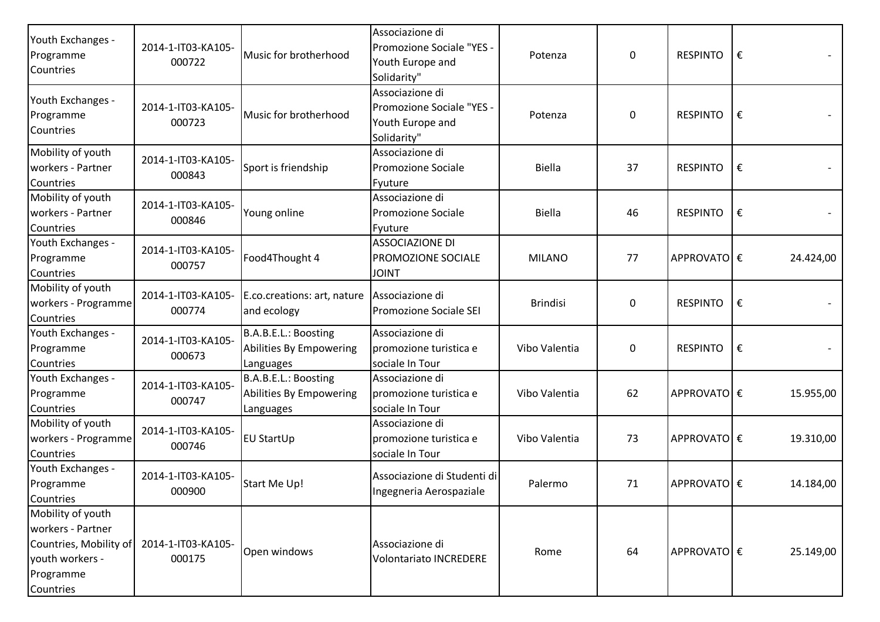| Youth Exchanges -<br>Programme<br>Countries                                                                   | 2014-1-IT03-KA105-<br>000722 | Music for brotherhood                                        | Associazione di<br>Promozione Sociale "YES -<br>Youth Europe and<br>Solidarity" | Potenza         | $\mathbf 0$ | <b>RESPINTO</b> | € |           |
|---------------------------------------------------------------------------------------------------------------|------------------------------|--------------------------------------------------------------|---------------------------------------------------------------------------------|-----------------|-------------|-----------------|---|-----------|
| Youth Exchanges -<br>Programme<br>Countries                                                                   | 2014-1-IT03-KA105-<br>000723 | Music for brotherhood                                        | Associazione di<br>Promozione Sociale "YES -<br>Youth Europe and<br>Solidarity" | Potenza         | $\mathbf 0$ | <b>RESPINTO</b> | € |           |
| Mobility of youth<br>workers - Partner<br>Countries                                                           | 2014-1-IT03-KA105-<br>000843 | Sport is friendship                                          | Associazione di<br>Promozione Sociale<br>Fyuture                                | <b>Biella</b>   | 37          | <b>RESPINTO</b> | € |           |
| Mobility of youth<br>workers - Partner<br>Countries                                                           | 2014-1-IT03-KA105-<br>000846 | Young online                                                 | Associazione di<br>Promozione Sociale<br>Fyuture                                | <b>Biella</b>   | 46          | <b>RESPINTO</b> | € |           |
| Youth Exchanges -<br>Programme<br>Countries                                                                   | 2014-1-IT03-KA105-<br>000757 | Food4Thought 4                                               | <b>ASSOCIAZIONE DI</b><br>PROMOZIONE SOCIALE<br><b>JOINT</b>                    | <b>MILANO</b>   | 77          | APPROVATO €     |   | 24.424,00 |
| Mobility of youth<br>workers - Programme<br>Countries                                                         | 2014-1-IT03-KA105-<br>000774 | E.co.creations: art, nature<br>and ecology                   | Associazione di<br>Promozione Sociale SEI                                       | <b>Brindisi</b> | $\mathbf 0$ | <b>RESPINTO</b> | € |           |
| Youth Exchanges -<br>Programme<br>Countries                                                                   | 2014-1-IT03-KA105-<br>000673 | B.A.B.E.L.: Boosting<br>Abilities By Empowering<br>Languages | Associazione di<br>promozione turistica e<br>sociale In Tour                    | Vibo Valentia   | 0           | <b>RESPINTO</b> | € |           |
| Youth Exchanges -<br>Programme<br>Countries                                                                   | 2014-1-IT03-KA105-<br>000747 | B.A.B.E.L.: Boosting<br>Abilities By Empowering<br>Languages | Associazione di<br>promozione turistica e<br>sociale In Tour                    | Vibo Valentia   | 62          | APPROVATO €     |   | 15.955,00 |
| Mobility of youth<br>workers - Programme<br>Countries                                                         | 2014-1-IT03-KA105-<br>000746 | EU StartUp                                                   | Associazione di<br>promozione turistica e<br>sociale In Tour                    | Vibo Valentia   | 73          | APPROVATO €     |   | 19.310,00 |
| Youth Exchanges -<br>Programme<br>Countries                                                                   | 2014-1-IT03-KA105-<br>000900 | Start Me Up!                                                 | Associazione di Studenti di<br>Ingegneria Aerospaziale                          | Palermo         | 71          | APPROVATO €     |   | 14.184,00 |
| Mobility of youth<br>workers - Partner<br>Countries, Mobility of<br>youth workers -<br>Programme<br>Countries | 2014-1-IT03-KA105-<br>000175 | Open windows                                                 | Associazione di<br><b>Volontariato INCREDERE</b>                                | Rome            | 64          | APPROVATO €     |   | 25.149,00 |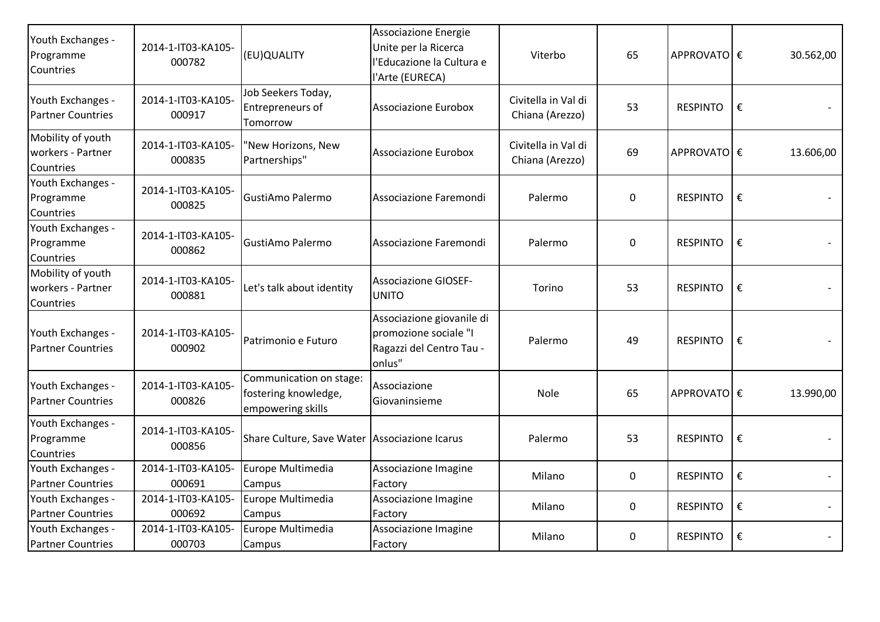| Youth Exchanges -<br>Programme<br>Countries         | 2014-1-IT03-KA105-<br>000782 | (EU)QUALITY                                                          | Associazione Energie<br>Unite per la Ricerca<br>l'Educazione la Cultura e<br>l'Arte (EURECA) | Viterbo                                | 65          | APPROVATO €     |   | 30.562,00 |
|-----------------------------------------------------|------------------------------|----------------------------------------------------------------------|----------------------------------------------------------------------------------------------|----------------------------------------|-------------|-----------------|---|-----------|
| Youth Exchanges -<br><b>Partner Countries</b>       | 2014-1-IT03-KA105-<br>000917 | Job Seekers Today,<br><b>Entrepreneurs of</b><br>Tomorrow            | <b>Associazione Eurobox</b>                                                                  | Civitella in Val di<br>Chiana (Arezzo) | 53          | <b>RESPINTO</b> | € |           |
| Mobility of youth<br>workers - Partner<br>Countries | 2014-1-IT03-KA105-<br>000835 | 'New Horizons, New<br>Partnerships"                                  | Associazione Eurobox                                                                         | Civitella in Val di<br>Chiana (Arezzo) | 69          | APPROVATO €     |   | 13.606,00 |
| Youth Exchanges -<br>Programme<br>Countries         | 2014-1-IT03-KA105-<br>000825 | GustiAmo Palermo                                                     | Associazione Faremondi                                                                       | Palermo                                | 0           | <b>RESPINTO</b> | € |           |
| Youth Exchanges -<br>Programme<br>Countries         | 2014-1-IT03-KA105-<br>000862 | GustiAmo Palermo                                                     | Associazione Faremondi                                                                       | Palermo                                | $\mathbf 0$ | <b>RESPINTO</b> | € |           |
| Mobility of youth<br>workers - Partner<br>Countries | 2014-1-IT03-KA105-<br>000881 | Let's talk about identity                                            | <b>Associazione GIOSEF-</b><br><b>UNITO</b>                                                  | Torino                                 | 53          | <b>RESPINTO</b> | € |           |
| Youth Exchanges -<br><b>Partner Countries</b>       | 2014-1-IT03-KA105-<br>000902 | Patrimonio e Futuro                                                  | Associazione giovanile di<br>promozione sociale "I<br>Ragazzi del Centro Tau -<br>onlus"     | Palermo                                | 49          | <b>RESPINTO</b> | € |           |
| Youth Exchanges -<br><b>Partner Countries</b>       | 2014-1-IT03-KA105-<br>000826 | Communication on stage:<br>fostering knowledge,<br>empowering skills | Associazione<br>Giovaninsieme                                                                | Nole                                   | 65          | APPROVATO €     |   | 13.990,00 |
| Youth Exchanges -<br>Programme<br>Countries         | 2014-1-IT03-KA105-<br>000856 | Share Culture, Save Water Associazione Icarus                        |                                                                                              | Palermo                                | 53          | <b>RESPINTO</b> | € |           |
| Youth Exchanges -<br><b>Partner Countries</b>       | 2014-1-IT03-KA105-<br>000691 | Europe Multimedia<br>Campus                                          | Associazione Imagine<br>Factory                                                              | Milano                                 | $\pmb{0}$   | <b>RESPINTO</b> | € |           |
| Youth Exchanges -<br><b>Partner Countries</b>       | 2014-1-IT03-KA105-<br>000692 | Europe Multimedia<br>Campus                                          | Associazione Imagine<br>Factory                                                              | Milano                                 | 0           | <b>RESPINTO</b> | € |           |
| Youth Exchanges -<br><b>Partner Countries</b>       | 2014-1-IT03-KA105-<br>000703 | Europe Multimedia<br>Campus                                          | Associazione Imagine<br>Factory                                                              | Milano                                 | 0           | <b>RESPINTO</b> | € |           |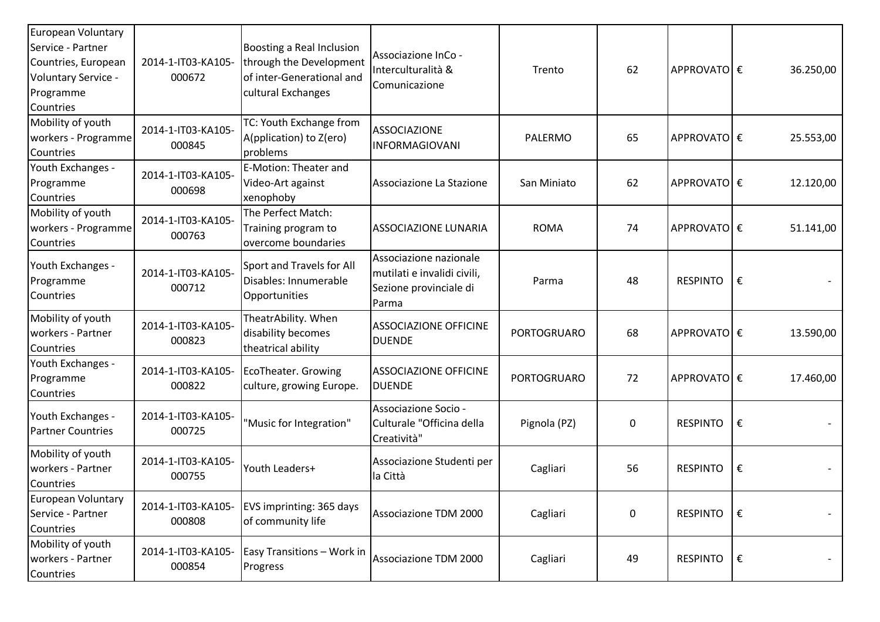| European Voluntary<br>Service - Partner<br>Countries, European<br>Voluntary Service -<br>Programme<br>Countries | 2014-1-IT03-KA105-<br>000672 | Boosting a Real Inclusion<br>through the Development<br>of inter-Generational and<br>cultural Exchanges | Associazione InCo -<br>Interculturalità &<br>Comunicazione                               | Trento             | 62 | APPROVATO €     |   | 36.250,00 |
|-----------------------------------------------------------------------------------------------------------------|------------------------------|---------------------------------------------------------------------------------------------------------|------------------------------------------------------------------------------------------|--------------------|----|-----------------|---|-----------|
| Mobility of youth<br>workers - Programme<br>Countries                                                           | 2014-1-IT03-KA105-<br>000845 | TC: Youth Exchange from<br>A(pplication) to Z(ero)<br>problems                                          | <b>ASSOCIAZIONE</b><br><b>INFORMAGIOVANI</b>                                             | PALERMO            | 65 | APPROVATO €     |   | 25.553,00 |
| Youth Exchanges -<br>Programme<br>Countries                                                                     | 2014-1-IT03-KA105-<br>000698 | <b>E-Motion: Theater and</b><br>Video-Art against<br>xenophoby                                          | Associazione La Stazione                                                                 | San Miniato        | 62 | APPROVATOE€     |   | 12.120,00 |
| Mobility of youth<br>workers - Programme<br>Countries                                                           | 2014-1-IT03-KA105-<br>000763 | The Perfect Match:<br>Training program to<br>overcome boundaries                                        | <b>ASSOCIAZIONE LUNARIA</b>                                                              | <b>ROMA</b>        | 74 | APPROVATOE€     |   | 51.141,00 |
| Youth Exchanges -<br>Programme<br>Countries                                                                     | 2014-1-IT03-KA105-<br>000712 | Sport and Travels for All<br>Disables: Innumerable<br>Opportunities                                     | Associazione nazionale<br>mutilati e invalidi civili,<br>Sezione provinciale di<br>Parma | Parma              | 48 | <b>RESPINTO</b> | € |           |
| Mobility of youth<br>workers - Partner<br>Countries                                                             | 2014-1-IT03-KA105-<br>000823 | TheatrAbility. When<br>disability becomes<br>theatrical ability                                         | <b>ASSOCIAZIONE OFFICINE</b><br><b>DUENDE</b>                                            | <b>PORTOGRUARO</b> | 68 | APPROVATOE€     |   | 13.590,00 |
| Youth Exchanges -<br>Programme<br>Countries                                                                     | 2014-1-IT03-KA105-<br>000822 | EcoTheater. Growing<br>culture, growing Europe.                                                         | <b>ASSOCIAZIONE OFFICINE</b><br><b>DUENDE</b>                                            | <b>PORTOGRUARO</b> | 72 | APPROVATOE€     |   | 17.460,00 |
| Youth Exchanges -<br><b>Partner Countries</b>                                                                   | 2014-1-IT03-KA105-<br>000725 | "Music for Integration"                                                                                 | Associazione Socio -<br>Culturale "Officina della<br>Creatività"                         | Pignola (PZ)       | 0  | <b>RESPINTO</b> | € |           |
| Mobility of youth<br>workers - Partner<br>Countries                                                             | 2014-1-IT03-KA105-<br>000755 | Youth Leaders+                                                                                          | Associazione Studenti per<br>la Città                                                    | Cagliari           | 56 | <b>RESPINTO</b> | € |           |
| European Voluntary<br>Service - Partner<br>Countries                                                            | 2014-1-IT03-KA105-<br>000808 | EVS imprinting: 365 days<br>of community life                                                           | Associazione TDM 2000                                                                    | Cagliari           | 0  | <b>RESPINTO</b> | € |           |
| Mobility of youth<br>workers - Partner<br>Countries                                                             | 2014-1-IT03-KA105-<br>000854 | Easy Transitions - Work in<br>Progress                                                                  | Associazione TDM 2000                                                                    | Cagliari           | 49 | <b>RESPINTO</b> | € |           |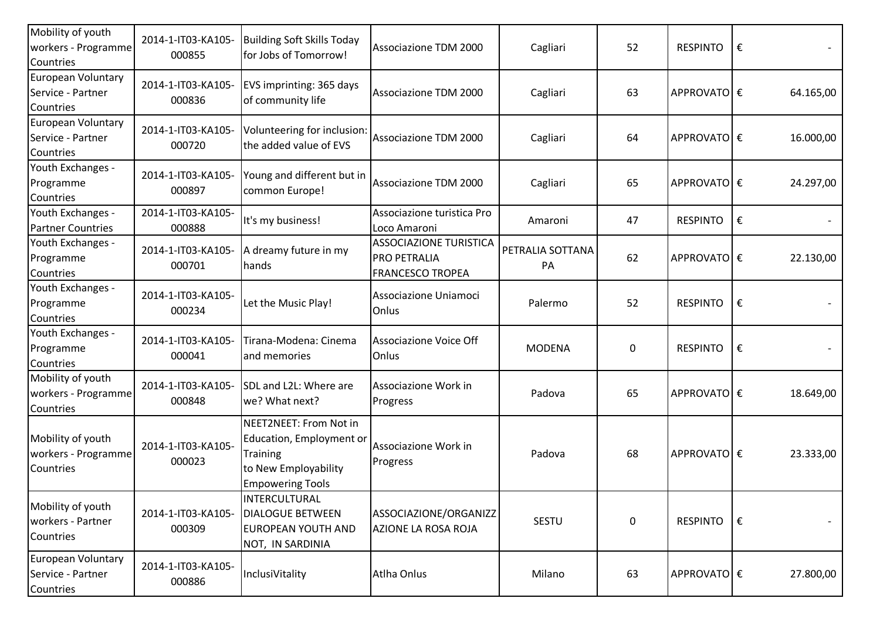| Mobility of youth<br>workers - Programme<br>Countries | 2014-1-IT03-KA105-<br>000855 | Building Soft Skills Today<br>for Jobs of Tomorrow!                                                                      | Associazione TDM 2000                                                           | Cagliari               | 52        | <b>RESPINTO</b> | €  |           |
|-------------------------------------------------------|------------------------------|--------------------------------------------------------------------------------------------------------------------------|---------------------------------------------------------------------------------|------------------------|-----------|-----------------|----|-----------|
| European Voluntary<br>Service - Partner<br>Countries  | 2014-1-IT03-KA105-<br>000836 | EVS imprinting: 365 days<br>of community life                                                                            | Associazione TDM 2000                                                           | Cagliari               | 63        | APPROVATO €     |    | 64.165,00 |
| European Voluntary<br>Service - Partner<br>Countries  | 2014-1-IT03-KA105-<br>000720 | Volunteering for inclusion:<br>the added value of EVS                                                                    | Associazione TDM 2000                                                           | Cagliari               | 64        | APPROVATOE€     |    | 16.000,00 |
| Youth Exchanges -<br>Programme<br>Countries           | 2014-1-IT03-KA105-<br>000897 | Young and different but in<br>common Europe!                                                                             | Associazione TDM 2000                                                           | Cagliari               | 65        | APPROVATO €     |    | 24.297,00 |
| Youth Exchanges -<br><b>Partner Countries</b>         | 2014-1-IT03-KA105-<br>000888 | It's my business!                                                                                                        | Associazione turistica Pro<br>Loco Amaroni                                      | Amaroni                | 47        | RESPINTO        | l€ |           |
| Youth Exchanges -<br>Programme<br>Countries           | 2014-1-IT03-KA105-<br>000701 | A dreamy future in my<br>hands                                                                                           | <b>ASSOCIAZIONE TURISTICA</b><br><b>PRO PETRALIA</b><br><b>FRANCESCO TROPEA</b> | PETRALIA SOTTANA<br>PA | 62        | APPROVATO €     |    | 22.130,00 |
| Youth Exchanges -<br>Programme<br>Countries           | 2014-1-IT03-KA105-<br>000234 | Let the Music Play!                                                                                                      | Associazione Uniamoci<br>Onlus                                                  | Palermo                | 52        | <b>RESPINTO</b> | €  |           |
| Youth Exchanges -<br>Programme<br>Countries           | 2014-1-IT03-KA105-<br>000041 | Tirana-Modena: Cinema<br>and memories                                                                                    | Associazione Voice Off<br>Onlus                                                 | <b>MODENA</b>          | $\pmb{0}$ | <b>RESPINTO</b> | €  |           |
| Mobility of youth<br>workers - Programme<br>Countries | 2014-1-IT03-KA105-<br>000848 | SDL and L2L: Where are<br>we? What next?                                                                                 | Associazione Work in<br>Progress                                                | Padova                 | 65        | APPROVATOE€     |    | 18.649,00 |
| Mobility of youth<br>workers - Programme<br>Countries | 2014-1-IT03-KA105-<br>000023 | NEET2NEET: From Not in<br>Education, Employment or<br><b>Training</b><br>to New Employability<br><b>Empowering Tools</b> | Associazione Work in<br>Progress                                                | Padova                 | 68        | APPROVATOE€     |    | 23.333,00 |
| Mobility of youth<br>workers - Partner<br>Countries   | 2014-1-IT03-KA105-<br>000309 | INTERCULTURAL<br><b>DIALOGUE BETWEEN</b><br>EUROPEAN YOUTH AND<br>NOT, IN SARDINIA                                       | ASSOCIAZIONE/ORGANIZZ<br>AZIONE LA ROSA ROJA                                    | SESTU                  | $\pmb{0}$ | RESPINTO E      |    |           |
| European Voluntary<br>Service - Partner<br>Countries  | 2014-1-IT03-KA105-<br>000886 | InclusiVitality                                                                                                          | Atlha Onlus                                                                     | Milano                 | 63        | APPROVATO €     |    | 27.800,00 |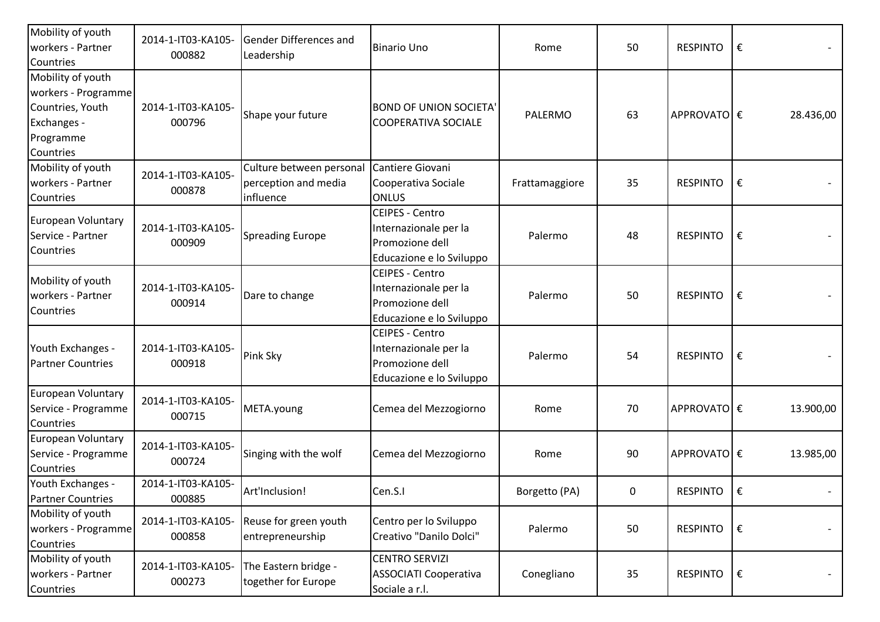| Mobility of youth<br>workers - Partner<br>Countries                                                   | 2014-1-IT03-KA105-<br>000882 | Gender Differences and<br>Leadership                          | <b>Binario Uno</b>                                                                             | Rome           | 50 | RESPINTO              | € |           |
|-------------------------------------------------------------------------------------------------------|------------------------------|---------------------------------------------------------------|------------------------------------------------------------------------------------------------|----------------|----|-----------------------|---|-----------|
| Mobility of youth<br>workers - Programme<br>Countries, Youth<br>Exchanges -<br>Programme<br>Countries | 2014-1-IT03-KA105-<br>000796 | Shape your future                                             | <b>BOND OF UNION SOCIETA'</b><br>COOPERATIVA SOCIALE                                           | PALERMO        | 63 | APPROVATO €           |   | 28.436,00 |
| Mobility of youth<br>workers - Partner<br>Countries                                                   | 2014-1-IT03-KA105-<br>000878 | Culture between personal<br>perception and media<br>influence | Cantiere Giovani<br>Cooperativa Sociale<br><b>ONLUS</b>                                        | Frattamaggiore | 35 | RESPINTO              | € |           |
| <b>European Voluntary</b><br>Service - Partner<br>Countries                                           | 2014-1-IT03-KA105-<br>000909 | <b>Spreading Europe</b>                                       | <b>CEIPES - Centro</b><br>Internazionale per la<br>Promozione dell<br>Educazione e lo Sviluppo | Palermo        | 48 | <b>RESPINTO</b>       | € |           |
| Mobility of youth<br>workers - Partner<br>Countries                                                   | 2014-1-IT03-KA105-<br>000914 | Dare to change                                                | <b>CEIPES - Centro</b><br>Internazionale per la<br>Promozione dell<br>Educazione e lo Sviluppo | Palermo        | 50 | <b>RESPINTO</b>       | € |           |
| Youth Exchanges -<br><b>Partner Countries</b>                                                         | 2014-1-IT03-KA105-<br>000918 | Pink Sky                                                      | <b>CEIPES - Centro</b><br>Internazionale per la<br>Promozione dell<br>Educazione e lo Sviluppo | Palermo        | 54 | <b>RESPINTO</b>       | € |           |
| European Voluntary<br>Service - Programme<br>Countries                                                | 2014-1-IT03-KA105-<br>000715 | META.young                                                    | Cemea del Mezzogiorno                                                                          | Rome           | 70 | APPROVATO €           |   | 13.900,00 |
| European Voluntary<br>Service - Programme<br>Countries                                                | 2014-1-IT03-KA105-<br>000724 | Singing with the wolf                                         | Cemea del Mezzogiorno                                                                          | Rome           | 90 | APPROVATO €           |   | 13.985,00 |
| Youth Exchanges -<br><b>Partner Countries</b>                                                         | 2014-1-IT03-KA105-<br>000885 | Art'Inclusion!                                                | Cen.S.I                                                                                        | Borgetto (PA)  | 0  | RESPINTO $\mathsf{E}$ |   |           |
| Mobility of youth<br>workers - Programme<br>Countries                                                 | 2014-1-IT03-KA105-<br>000858 | Reuse for green youth<br>entrepreneurship                     | Centro per lo Sviluppo<br>Creativo "Danilo Dolci"                                              | Palermo        | 50 | <b>RESPINTO</b>       | € |           |
| Mobility of youth<br>workers - Partner<br>Countries                                                   | 2014-1-IT03-KA105-<br>000273 | The Eastern bridge -<br>together for Europe                   | <b>CENTRO SERVIZI</b><br><b>ASSOCIATI Cooperativa</b><br>Sociale a r.l.                        | Conegliano     | 35 | RESPINTO              | € |           |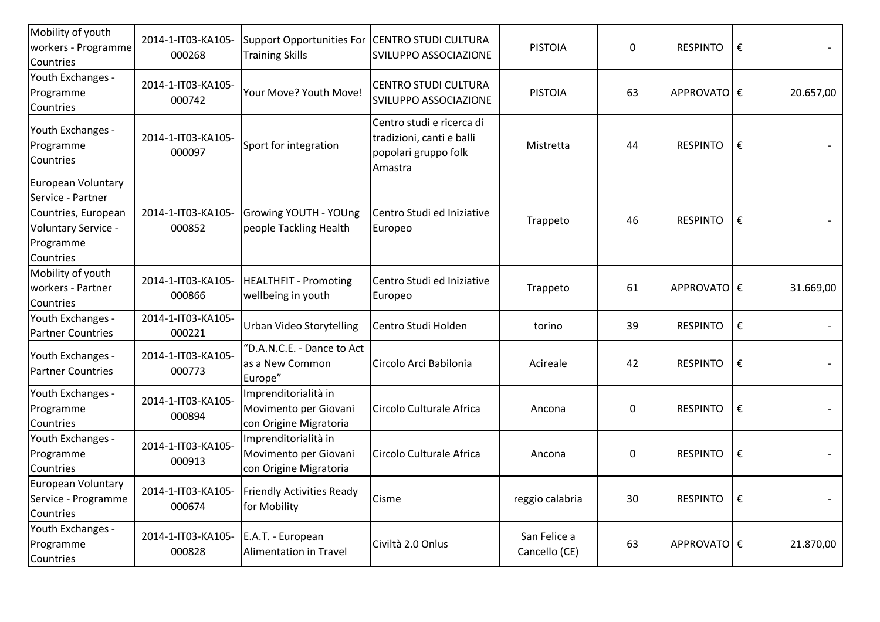| Mobility of youth<br>workers - Programme<br>Countries                                                           | 2014-1-IT03-KA105-<br>000268 | Support Opportunities For CENTRO STUDI CULTURA<br><b>Training Skills</b> | SVILUPPO ASSOCIAZIONE                                                                     | <b>PISTOIA</b>                | 0                | <b>RESPINTO</b> | € |                          |
|-----------------------------------------------------------------------------------------------------------------|------------------------------|--------------------------------------------------------------------------|-------------------------------------------------------------------------------------------|-------------------------------|------------------|-----------------|---|--------------------------|
| Youth Exchanges -<br>Programme<br>Countries                                                                     | 2014-1-IT03-KA105-<br>000742 | Your Move? Youth Move!                                                   | <b>CENTRO STUDI CULTURA</b><br>SVILUPPO ASSOCIAZIONE                                      | <b>PISTOIA</b>                | 63               | APPROVATOE€     |   | 20.657,00                |
| Youth Exchanges -<br>Programme<br>Countries                                                                     | 2014-1-IT03-KA105-<br>000097 | Sport for integration                                                    | Centro studi e ricerca di<br>tradizioni, canti e balli<br>popolari gruppo folk<br>Amastra | Mistretta                     | 44               | <b>RESPINTO</b> | € |                          |
| European Voluntary<br>Service - Partner<br>Countries, European<br>Voluntary Service -<br>Programme<br>Countries | 2014-1-IT03-KA105-<br>000852 | Growing YOUTH - YOUng<br>people Tackling Health                          | Centro Studi ed Iniziative<br>Europeo                                                     | Trappeto                      | 46               | <b>RESPINTO</b> | € |                          |
| Mobility of youth<br>workers - Partner<br>Countries                                                             | 2014-1-IT03-KA105-<br>000866 | <b>HEALTHFIT - Promoting</b><br>wellbeing in youth                       | Centro Studi ed Iniziative<br>Europeo                                                     | Trappeto                      | 61               | APPROVATO  €    |   | 31.669,00                |
| Youth Exchanges -<br><b>Partner Countries</b>                                                                   | 2014-1-IT03-KA105-<br>000221 | Urban Video Storytelling                                                 | Centro Studi Holden                                                                       | torino                        | 39               | <b>RESPINTO</b> | € |                          |
| Youth Exchanges -<br><b>Partner Countries</b>                                                                   | 2014-1-IT03-KA105-<br>000773 | "D.A.N.C.E. - Dance to Act<br>as a New Common<br>Europe"                 | Circolo Arci Babilonia                                                                    | Acireale                      | 42               | <b>RESPINTO</b> | € |                          |
| Youth Exchanges -<br>Programme<br>Countries                                                                     | 2014-1-IT03-KA105-<br>000894 | Imprenditorialità in<br>Movimento per Giovani<br>con Origine Migratoria  | Circolo Culturale Africa                                                                  | Ancona                        | $\mathbf 0$      | <b>RESPINTO</b> | € |                          |
| Youth Exchanges -<br>Programme<br>Countries                                                                     | 2014-1-IT03-KA105-<br>000913 | Imprenditorialità in<br>Movimento per Giovani<br>con Origine Migratoria  | Circolo Culturale Africa                                                                  | Ancona                        | $\boldsymbol{0}$ | <b>RESPINTO</b> | € |                          |
| European Voluntary<br>Service - Programme<br>Countries                                                          | 000674                       | 2014-1-IT03-KA105- Friendly Activities Ready<br>for Mobility             | Cisme                                                                                     | reggio calabria               | 30               | RESPINTO        | € | $\overline{\phantom{a}}$ |
| Youth Exchanges -<br>Programme<br>Countries                                                                     | 2014-1-IT03-KA105-<br>000828 | E.A.T. - European<br><b>Alimentation in Travel</b>                       | Civiltà 2.0 Onlus                                                                         | San Felice a<br>Cancello (CE) | 63               | APPROVATO €     |   | 21.870,00                |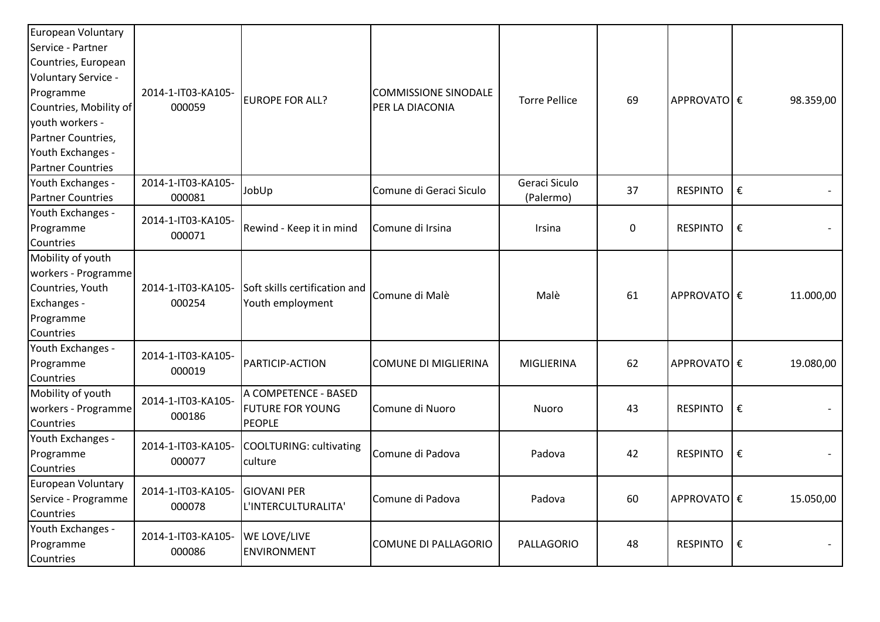| European Voluntary<br>Service - Partner<br>Countries, European<br>Voluntary Service -<br>Programme<br>Countries, Mobility of<br>youth workers -<br>Partner Countries,<br>Youth Exchanges -<br><b>Partner Countries</b> | 2014-1-IT03-KA105-<br>000059 | EUROPE FOR ALL?                                                  | <b>COMMISSIONE SINODALE</b><br>PER LA DIACONIA | <b>Torre Pellice</b>       | 69 | <b>APPROVATO</b> € |   | 98.359,00 |
|------------------------------------------------------------------------------------------------------------------------------------------------------------------------------------------------------------------------|------------------------------|------------------------------------------------------------------|------------------------------------------------|----------------------------|----|--------------------|---|-----------|
| Youth Exchanges -<br><b>Partner Countries</b>                                                                                                                                                                          | 2014-1-IT03-KA105-<br>000081 | JobUp                                                            | Comune di Geraci Siculo                        | Geraci Siculo<br>(Palermo) | 37 | <b>RESPINTO</b>    | € |           |
| Youth Exchanges -<br>Programme<br>Countries                                                                                                                                                                            | 2014-1-IT03-KA105-<br>000071 | Rewind - Keep it in mind                                         | Comune di Irsina                               | Irsina                     | 0  | <b>RESPINTO</b>    | € |           |
| Mobility of youth<br>workers - Programme<br>Countries, Youth<br>Exchanges -<br>Programme<br>Countries                                                                                                                  | 2014-1-IT03-KA105-<br>000254 | Soft skills certification and<br>Youth employment                | Comune di Malè                                 | Malè                       | 61 | <b>APPROVATO</b> € |   | 11.000,00 |
| Youth Exchanges -<br>Programme<br>Countries                                                                                                                                                                            | 2014-1-IT03-KA105-<br>000019 | <b>PARTICIP-ACTION</b>                                           | <b>COMUNE DI MIGLIERINA</b>                    | MIGLIERINA                 | 62 | APPROVATO €        |   | 19.080,00 |
| Mobility of youth<br>workers - Programme<br>Countries                                                                                                                                                                  | 2014-1-IT03-KA105-<br>000186 | A COMPETENCE - BASED<br><b>FUTURE FOR YOUNG</b><br><b>PEOPLE</b> | Comune di Nuoro                                | Nuoro                      | 43 | <b>RESPINTO</b>    | € |           |
| Youth Exchanges -<br>Programme<br>Countries                                                                                                                                                                            | 2014-1-IT03-KA105-<br>000077 | <b>COOLTURING: cultivating</b><br>culture                        | Comune di Padova                               | Padova                     | 42 | <b>RESPINTO</b>    | € |           |
| European Voluntary<br>Service - Programme<br>Countries                                                                                                                                                                 | 2014-1-IT03-KA105-<br>000078 | <b>GIOVANI PER</b><br>L'INTERCULTURALITA'                        | Comune di Padova                               | Padova                     | 60 | APPROVATOE€        |   | 15.050,00 |
| Youth Exchanges -<br>Programme<br>Countries                                                                                                                                                                            | 2014-1-IT03-KA105-<br>000086 | <b>WE LOVE/LIVE</b><br><b>ENVIRONMENT</b>                        | COMUNE DI PALLAGORIO                           | PALLAGORIO                 | 48 | <b>RESPINTO</b>    | € |           |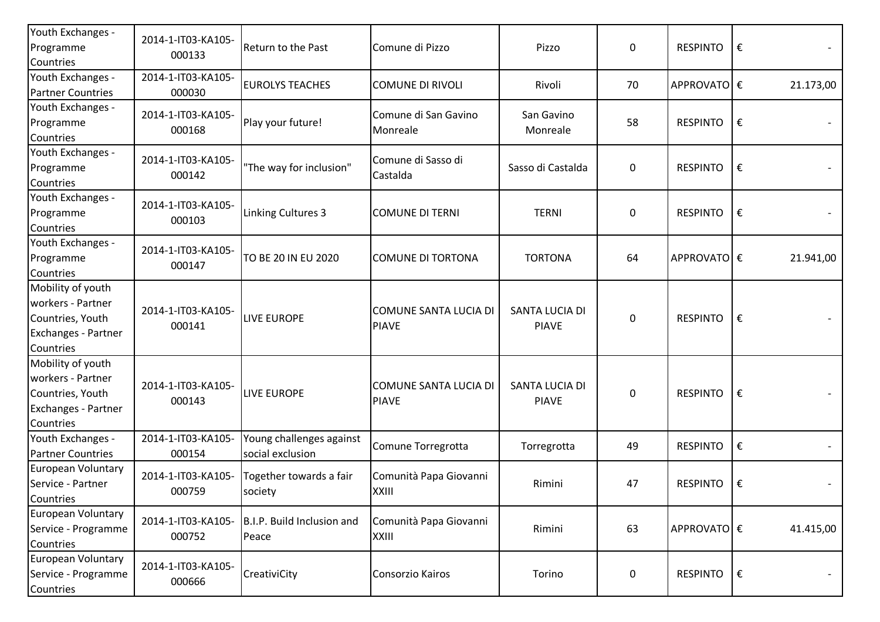| Youth Exchanges -<br>Programme<br>Countries                                                    | 2014-1-IT03-KA105-<br>000133 | Return to the Past                           | Comune di Pizzo                              | Pizzo                          | $\mathbf 0$      | <b>RESPINTO</b> | €                |           |
|------------------------------------------------------------------------------------------------|------------------------------|----------------------------------------------|----------------------------------------------|--------------------------------|------------------|-----------------|------------------|-----------|
| Youth Exchanges -<br><b>Partner Countries</b>                                                  | 2014-1-IT03-KA105-<br>000030 | <b>EUROLYS TEACHES</b>                       | <b>COMUNE DI RIVOLI</b>                      | Rivoli                         | 70               | APPROVATOE€     |                  | 21.173,00 |
| Youth Exchanges -<br>Programme<br>Countries                                                    | 2014-1-IT03-KA105-<br>000168 | Play your future!                            | Comune di San Gavino<br>Monreale             | San Gavino<br>Monreale         | 58               | <b>RESPINTO</b> | €                |           |
| Youth Exchanges -<br>Programme<br>Countries                                                    | 2014-1-IT03-KA105-<br>000142 | "The way for inclusion"                      | Comune di Sasso di<br>Castalda               | Sasso di Castalda              | $\boldsymbol{0}$ | <b>RESPINTO</b> | €                |           |
| Youth Exchanges -<br>Programme<br>Countries                                                    | 2014-1-IT03-KA105-<br>000103 | Linking Cultures 3                           | <b>COMUNE DI TERNI</b>                       | <b>TERNI</b>                   | $\pmb{0}$        | <b>RESPINTO</b> | ∣€               |           |
| Youth Exchanges -<br>Programme<br>Countries                                                    | 2014-1-IT03-KA105-<br>000147 | TO BE 20 IN EU 2020                          | <b>COMUNE DI TORTONA</b>                     | <b>TORTONA</b>                 | 64               | APPROVATOE€     |                  | 21.941,00 |
| Mobility of youth<br>workers - Partner<br>Countries, Youth<br>Exchanges - Partner<br>Countries | 2014-1-IT03-KA105-<br>000141 | <b>LIVE EUROPE</b>                           | <b>COMUNE SANTA LUCIA DI</b><br><b>PIAVE</b> | SANTA LUCIA DI<br><b>PIAVE</b> | $\mathbf 0$      | <b>RESPINTO</b> | €                |           |
| Mobility of youth<br>workers - Partner<br>Countries, Youth<br>Exchanges - Partner<br>Countries | 2014-1-IT03-KA105-<br>000143 | <b>LIVE EUROPE</b>                           | <b>COMUNE SANTA LUCIA DI</b><br><b>PIAVE</b> | SANTA LUCIA DI<br><b>PIAVE</b> | $\mathbf 0$      | <b>RESPINTO</b> | €                |           |
| Youth Exchanges -<br><b>Partner Countries</b>                                                  | 2014-1-IT03-KA105-<br>000154 | Young challenges against<br>social exclusion | Comune Torregrotta                           | Torregrotta                    | 49               | <b>RESPINTO</b> | €                |           |
| European Voluntary<br>Service - Partner<br>Countries                                           | 2014-1-IT03-KA105-<br>000759 | Together towards a fair<br>society           | Comunità Papa Giovanni<br>XXIII              | Rimini                         | 47               | <b>RESPINTO</b> | $\vert \epsilon$ |           |
| European Voluntary<br>Service - Programme<br>Countries                                         | 2014-1-IT03-KA105-<br>000752 | B.I.P. Build Inclusion and<br>Peace          | Comunità Papa Giovanni<br>XXIII              | Rimini                         | 63               | APPROVATOE€     |                  | 41.415,00 |
| <b>European Voluntary</b><br>Service - Programme<br>Countries                                  | 2014-1-IT03-KA105-<br>000666 | CreativiCity                                 | Consorzio Kairos                             | Torino                         | $\mathbf 0$      | <b>RESPINTO</b> | ∣€               |           |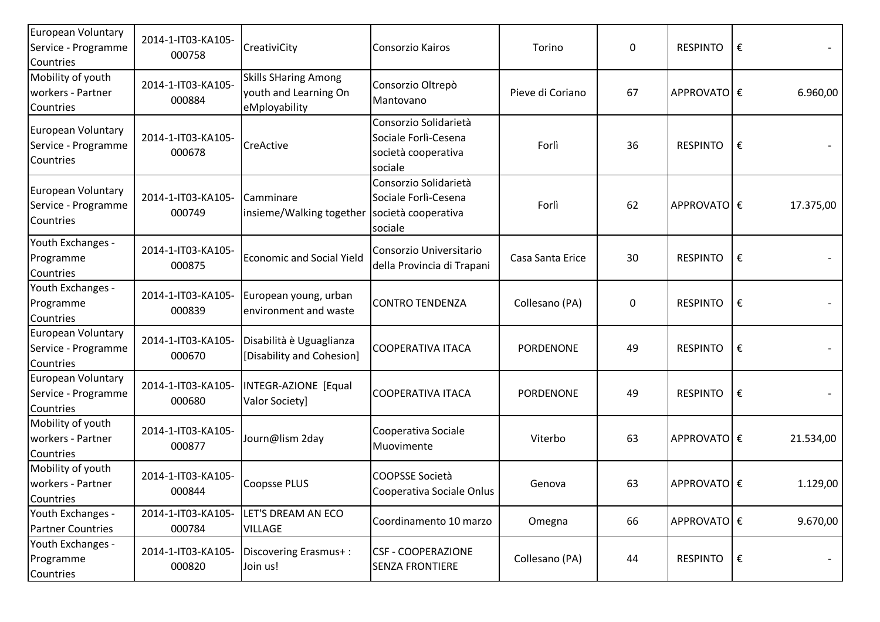| European Voluntary<br>Service - Programme<br>Countries | 2014-1-IT03-KA105-<br>000758 | CreativiCity                                                          | Consorzio Kairos                                                                | Torino           | $\pmb{0}$ | <b>RESPINTO</b> | €         |
|--------------------------------------------------------|------------------------------|-----------------------------------------------------------------------|---------------------------------------------------------------------------------|------------------|-----------|-----------------|-----------|
| Mobility of youth<br>workers - Partner<br>Countries    | 2014-1-IT03-KA105-<br>000884 | <b>Skills SHaring Among</b><br>youth and Learning On<br>eMployability | Consorzio Oltrepò<br>Mantovano                                                  | Pieve di Coriano | 67        | APPROVATO €     | 6.960,00  |
| European Voluntary<br>Service - Programme<br>Countries | 2014-1-IT03-KA105-<br>000678 | CreActive                                                             | Consorzio Solidarietà<br>Sociale Forlì-Cesena<br>società cooperativa<br>sociale | Forlì            | 36        | <b>RESPINTO</b> | €         |
| European Voluntary<br>Service - Programme<br>Countries | 2014-1-IT03-KA105-<br>000749 | Camminare<br>insieme/Walking together                                 | Consorzio Solidarietà<br>Sociale Forlì-Cesena<br>società cooperativa<br>sociale | Forlì            | 62        | APPROVATO €     | 17.375,00 |
| Youth Exchanges -<br>Programme<br>Countries            | 2014-1-IT03-KA105-<br>000875 | <b>Economic and Social Yield</b>                                      | Consorzio Universitario<br>della Provincia di Trapani                           | Casa Santa Erice | 30        | <b>RESPINTO</b> | €         |
| Youth Exchanges -<br>Programme<br>Countries            | 2014-1-IT03-KA105-<br>000839 | European young, urban<br>environment and waste                        | <b>CONTRO TENDENZA</b>                                                          | Collesano (PA)   | $\pmb{0}$ | <b>RESPINTO</b> | €         |
| European Voluntary<br>Service - Programme<br>Countries | 2014-1-IT03-KA105-<br>000670 | Disabilità è Uguaglianza<br>[Disability and Cohesion]                 | <b>COOPERATIVA ITACA</b>                                                        | <b>PORDENONE</b> | 49        | <b>RESPINTO</b> | €         |
| European Voluntary<br>Service - Programme<br>Countries | 2014-1-IT03-KA105-<br>000680 | INTEGR-AZIONE [Equal<br>Valor Society]                                | <b>COOPERATIVA ITACA</b>                                                        | <b>PORDENONE</b> | 49        | <b>RESPINTO</b> | €         |
| Mobility of youth<br>workers - Partner<br>Countries    | 2014-1-IT03-KA105-<br>000877 | Journ@lism 2day                                                       | Cooperativa Sociale<br>Muovimente                                               | Viterbo          | 63        | APPROVATO €     | 21.534,00 |
| Mobility of youth<br>workers - Partner<br>Countries    | 2014-1-IT03-KA105-<br>000844 | <b>Coopsse PLUS</b>                                                   | <b>COOPSSE Società</b><br>Cooperativa Sociale Onlus                             | Genova           | 63        | APPROVATOE€     | 1.129,00  |
| Youth Exchanges -<br><b>Partner Countries</b>          | 2014-1-IT03-KA105-<br>000784 | LET'S DREAM AN ECO<br><b>VILLAGE</b>                                  | Coordinamento 10 marzo                                                          | Omegna           | 66        | APPROVATO €     | 9.670,00  |
| Youth Exchanges -<br>Programme<br>Countries            | 2014-1-IT03-KA105-<br>000820 | Discovering Erasmus+:<br>Join us!                                     | <b>CSF - COOPERAZIONE</b><br><b>SENZA FRONTIERE</b>                             | Collesano (PA)   | 44        | <b>RESPINTO</b> | €         |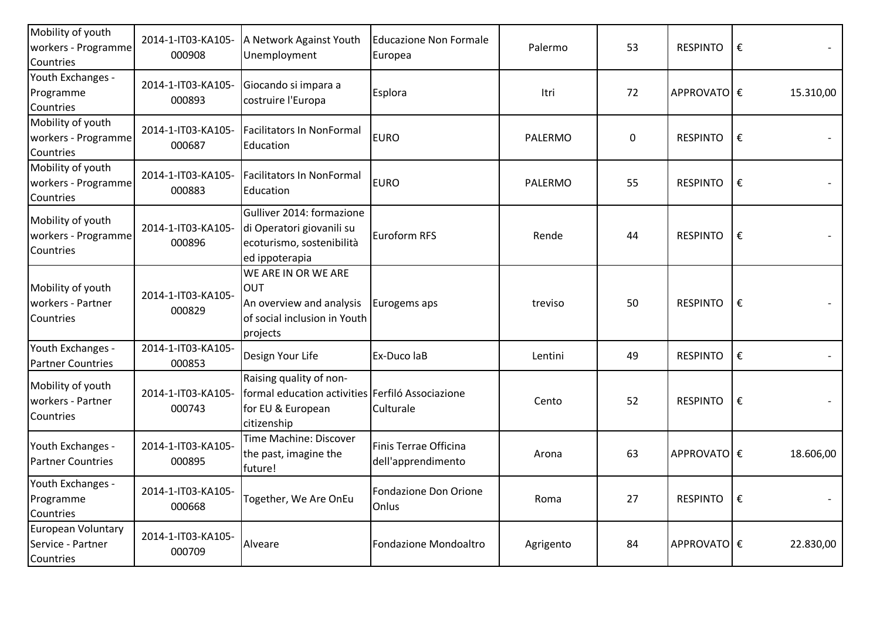| Mobility of youth<br>workers - Programme<br>Countries | 2014-1-IT03-KA105-<br>000908 | A Network Against Youth<br>Unemployment                                                                         | <b>Educazione Non Formale</b><br>Europea    | Palermo   | 53 | <b>RESPINTO</b> | €          |           |
|-------------------------------------------------------|------------------------------|-----------------------------------------------------------------------------------------------------------------|---------------------------------------------|-----------|----|-----------------|------------|-----------|
| Youth Exchanges -<br>Programme<br>Countries           | 2014-1-IT03-KA105-<br>000893 | Giocando si impara a<br>costruire l'Europa                                                                      | Esplora                                     | Itri      | 72 | APPROVATOE€     |            | 15.310,00 |
| Mobility of youth<br>workers - Programme<br>Countries | 2014-1-IT03-KA105-<br>000687 | <b>Facilitators In NonFormal</b><br>Education                                                                   | <b>EURO</b>                                 | PALERMO   | 0  | <b>RESPINTO</b> | €          |           |
| Mobility of youth<br>workers - Programme<br>Countries | 2014-1-IT03-KA105-<br>000883 | <b>Facilitators In NonFormal</b><br>Education                                                                   | <b>EURO</b>                                 | PALERMO   | 55 | <b>RESPINTO</b> | ∣€         |           |
| Mobility of youth<br>workers - Programme<br>Countries | 2014-1-IT03-KA105-<br>000896 | Gulliver 2014: formazione<br>di Operatori giovanili su<br>ecoturismo, sostenibilità<br>ed ippoterapia           | Euroform RFS                                | Rende     | 44 | <b>RESPINTO</b> | €          |           |
| Mobility of youth<br>workers - Partner<br>Countries   | 2014-1-IT03-KA105-<br>000829 | WE ARE IN OR WE ARE<br><b>OUT</b><br>An overview and analysis<br>of social inclusion in Youth<br>projects       | Eurogems aps                                | treviso   | 50 | <b>RESPINTO</b> | ∣€         |           |
| Youth Exchanges -<br><b>Partner Countries</b>         | 2014-1-IT03-KA105-<br>000853 | Design Your Life                                                                                                | Ex-Duco laB                                 | Lentini   | 49 | <b>RESPINTO</b> | €          |           |
| Mobility of youth<br>workers - Partner<br>Countries   | 2014-1-IT03-KA105-<br>000743 | Raising quality of non-<br>formal education activities Ferfiló Associazione<br>for EU & European<br>citizenship | Culturale                                   | Cento     | 52 | <b>RESPINTO</b> | $\epsilon$ |           |
| Youth Exchanges -<br><b>Partner Countries</b>         | 2014-1-IT03-KA105-<br>000895 | Time Machine: Discover<br>the past, imagine the<br>future!                                                      | Finis Terrae Officina<br>dell'apprendimento | Arona     | 63 | APPROVATOE€     |            | 18.606,00 |
| Youth Exchanges -<br>Programme<br>Countries           | 2014-1-IT03-KA105-<br>000668 | Together, We Are OnEu                                                                                           | Fondazione Don Orione<br>Onlus              | Roma      | 27 | RESPINTO        | ∣€         |           |
| European Voluntary<br>Service - Partner<br>Countries  | 2014-1-IT03-KA105-<br>000709 | Alveare                                                                                                         | Fondazione Mondoaltro                       | Agrigento | 84 | APPROVATO €     |            | 22.830,00 |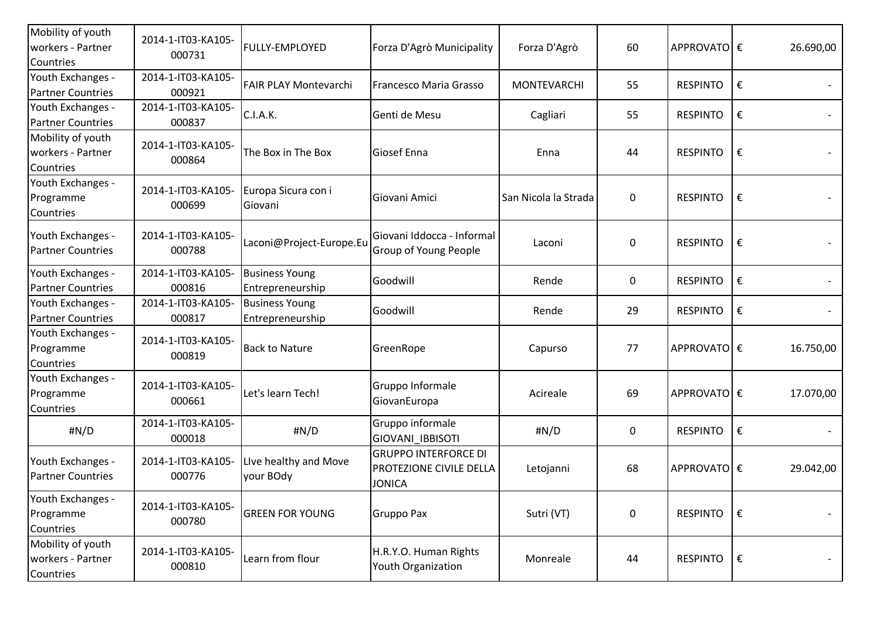| Mobility of youth<br>workers - Partner<br>Countries | 2014-1-IT03-KA105-<br>000731 | FULLY-EMPLOYED                            | Forza D'Agrò Municipality                                               | Forza D'Agrò         | 60        | APPROVATO €     |   | 26.690,00 |
|-----------------------------------------------------|------------------------------|-------------------------------------------|-------------------------------------------------------------------------|----------------------|-----------|-----------------|---|-----------|
| Youth Exchanges -<br><b>Partner Countries</b>       | 2014-1-IT03-KA105-<br>000921 | <b>FAIR PLAY Montevarchi</b>              | Francesco Maria Grasso                                                  | <b>MONTEVARCHI</b>   | 55        | <b>RESPINTO</b> | € |           |
| Youth Exchanges -<br><b>Partner Countries</b>       | 2014-1-IT03-KA105-<br>000837 | C.I.A.K.                                  | Genti de Mesu                                                           | Cagliari             | 55        | <b>RESPINTO</b> | € |           |
| Mobility of youth<br>workers - Partner<br>Countries | 2014-1-IT03-KA105-<br>000864 | The Box in The Box                        | Giosef Enna                                                             | Enna                 | 44        | <b>RESPINTO</b> | € |           |
| Youth Exchanges -<br>Programme<br>Countries         | 2014-1-IT03-KA105-<br>000699 | Europa Sicura con i<br>Giovani            | Giovani Amici                                                           | San Nicola la Strada | $\pmb{0}$ | <b>RESPINTO</b> | € |           |
| Youth Exchanges -<br><b>Partner Countries</b>       | 2014-1-IT03-KA105-<br>000788 | Laconi@Project-Europe.Eu                  | Giovani Iddocca - Informal<br>Group of Young People                     | Laconi               | 0         | <b>RESPINTO</b> | € |           |
| Youth Exchanges -<br><b>Partner Countries</b>       | 2014-1-IT03-KA105-<br>000816 | <b>Business Young</b><br>Entrepreneurship | Goodwill                                                                | Rende                | 0         | <b>RESPINTO</b> | € |           |
| Youth Exchanges -<br><b>Partner Countries</b>       | 2014-1-IT03-KA105-<br>000817 | <b>Business Young</b><br>Entrepreneurship | Goodwill                                                                | Rende                | 29        | <b>RESPINTO</b> | € |           |
| Youth Exchanges -<br>Programme<br>Countries         | 2014-1-IT03-KA105-<br>000819 | <b>Back to Nature</b>                     | GreenRope                                                               | Capurso              | 77        | APPROVATO €     |   | 16.750,00 |
| Youth Exchanges -<br>Programme<br>Countries         | 2014-1-IT03-KA105-<br>000661 | Let's learn Tech!                         | Gruppo Informale<br>GiovanEuropa                                        | Acireale             | 69        | APPROVATO €     |   | 17.070,00 |
| #N/D                                                | 2014-1-IT03-KA105-<br>000018 | #N/D                                      | Gruppo informale<br>GIOVANI IBBISOTI                                    | #N/D                 | 0         | <b>RESPINTO</b> | € |           |
| Youth Exchanges -<br><b>Partner Countries</b>       | 2014-1-IT03-KA105-<br>000776 | Live healthy and Move<br>your BOdy        | <b>GRUPPO INTERFORCE DI</b><br>PROTEZIONE CIVILE DELLA<br><b>JONICA</b> | Letojanni            | 68        | APPROVATO €     |   | 29.042,00 |
| Youth Exchanges -<br>Programme<br>Countries         | 2014-1-IT03-KA105-<br>000780 | <b>GREEN FOR YOUNG</b>                    | <b>Gruppo Pax</b>                                                       | Sutri (VT)           | $\pmb{0}$ | <b>RESPINTO</b> | € |           |
| Mobility of youth<br>workers - Partner<br>Countries | 2014-1-IT03-KA105-<br>000810 | Learn from flour                          | H.R.Y.O. Human Rights<br>Youth Organization                             | Monreale             | 44        | <b>RESPINTO</b> | € |           |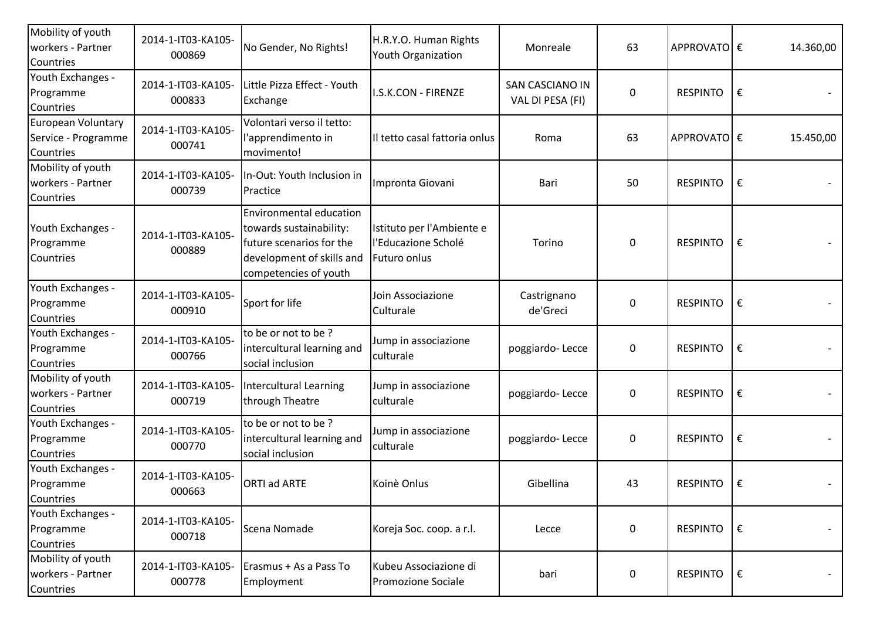| Mobility of youth<br>workers - Partner<br>Countries    | 2014-1-IT03-KA105-<br>000869 | No Gender, No Rights!                                                                                                                       | H.R.Y.O. Human Rights<br>Youth Organization                      | Monreale                            | 63               | APPROVATO €     |   | 14.360,00 |
|--------------------------------------------------------|------------------------------|---------------------------------------------------------------------------------------------------------------------------------------------|------------------------------------------------------------------|-------------------------------------|------------------|-----------------|---|-----------|
| Youth Exchanges -<br>Programme<br>Countries            | 2014-1-IT03-KA105-<br>000833 | Little Pizza Effect - Youth<br>Exchange                                                                                                     | I.S.K.CON - FIRENZE                                              | SAN CASCIANO IN<br>VAL DI PESA (FI) | 0                | <b>RESPINTO</b> | € |           |
| European Voluntary<br>Service - Programme<br>Countries | 2014-1-IT03-KA105-<br>000741 | Volontari verso il tetto:<br>l'apprendimento in<br>movimento!                                                                               | Il tetto casal fattoria onlus                                    | Roma                                | 63               | APPROVATO €     |   | 15.450,00 |
| Mobility of youth<br>workers - Partner<br>Countries    | 2014-1-IT03-KA105-<br>000739 | In-Out: Youth Inclusion in<br>Practice                                                                                                      | Impronta Giovani                                                 | Bari                                | 50               | <b>RESPINTO</b> | € |           |
| Youth Exchanges -<br>Programme<br>Countries            | 2014-1-IT03-KA105-<br>000889 | <b>Environmental education</b><br>towards sustainability:<br>future scenarios for the<br>development of skills and<br>competencies of youth | Istituto per l'Ambiente e<br>l'Educazione Scholé<br>Futuro onlus | Torino                              | 0                | <b>RESPINTO</b> | € |           |
| Youth Exchanges -<br>Programme<br>Countries            | 2014-1-IT03-KA105-<br>000910 | Sport for life                                                                                                                              | Join Associazione<br>Culturale                                   | Castrignano<br>de'Greci             | $\boldsymbol{0}$ | <b>RESPINTO</b> | € |           |
| Youth Exchanges -<br>Programme<br>Countries            | 2014-1-IT03-KA105-<br>000766 | to be or not to be?<br>intercultural learning and<br>social inclusion                                                                       | Jump in associazione<br>culturale                                | poggiardo-Lecce                     | $\boldsymbol{0}$ | <b>RESPINTO</b> | € |           |
| Mobility of youth<br>workers - Partner<br>Countries    | 2014-1-IT03-KA105-<br>000719 | Intercultural Learning<br>through Theatre                                                                                                   | Jump in associazione<br>culturale                                | poggiardo-Lecce                     | $\boldsymbol{0}$ | <b>RESPINTO</b> | € |           |
| Youth Exchanges -<br>Programme<br>Countries            | 2014-1-IT03-KA105-<br>000770 | to be or not to be?<br>intercultural learning and<br>social inclusion                                                                       | Jump in associazione<br>culturale                                | poggiardo-Lecce                     | 0                | <b>RESPINTO</b> | € |           |
| Youth Exchanges -<br>Programme<br>Countries            | 2014-1-IT03-KA105-<br>000663 | <b>ORTI ad ARTE</b>                                                                                                                         | Koinè Onlus                                                      | Gibellina                           | 43               | <b>RESPINTO</b> | € |           |
| Youth Exchanges -<br>Programme<br>Countries            | 2014-1-IT03-KA105-<br>000718 | Scena Nomade                                                                                                                                | Koreja Soc. coop. a r.l.                                         | Lecce                               | 0                | <b>RESPINTO</b> | € |           |
| Mobility of youth<br>workers - Partner<br>Countries    | 2014-1-IT03-KA105-<br>000778 | Erasmus + As a Pass To<br>Employment                                                                                                        | Kubeu Associazione di<br>Promozione Sociale                      | bari                                | $\pmb{0}$        | <b>RESPINTO</b> | € |           |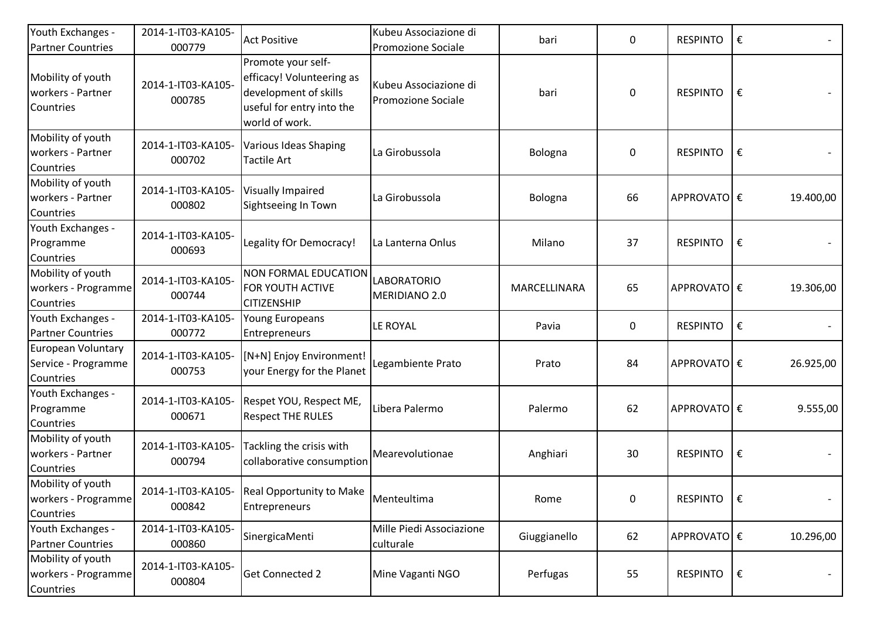| Youth Exchanges -<br><b>Partner Countries</b>          | 2014-1-IT03-KA105-<br>000779 | <b>Act Positive</b>                                                                                                     | Kubeu Associazione di<br>Promozione Sociale | bari         | 0         | <b>RESPINTO</b> | €          |           |
|--------------------------------------------------------|------------------------------|-------------------------------------------------------------------------------------------------------------------------|---------------------------------------------|--------------|-----------|-----------------|------------|-----------|
| Mobility of youth<br>workers - Partner<br>Countries    | 2014-1-IT03-KA105-<br>000785 | Promote your self-<br>efficacy! Volunteering as<br>development of skills<br>useful for entry into the<br>world of work. | Kubeu Associazione di<br>Promozione Sociale | bari         | 0         | <b>RESPINTO</b> | €          |           |
| Mobility of youth<br>workers - Partner<br>Countries    | 2014-1-IT03-KA105-<br>000702 | Various Ideas Shaping<br><b>Tactile Art</b>                                                                             | La Girobussola                              | Bologna      | $\pmb{0}$ | <b>RESPINTO</b> | €          |           |
| Mobility of youth<br>workers - Partner<br>Countries    | 2014-1-IT03-KA105-<br>000802 | <b>Visually Impaired</b><br>Sightseeing In Town                                                                         | La Girobussola                              | Bologna      | 66        | APPROVATO €     |            | 19.400,00 |
| Youth Exchanges -<br>Programme<br>Countries            | 2014-1-IT03-KA105-<br>000693 | Legality fOr Democracy!                                                                                                 | La Lanterna Onlus                           | Milano       | 37        | <b>RESPINTO</b> | €          |           |
| Mobility of youth<br>workers - Programme<br>Countries  | 2014-1-IT03-KA105-<br>000744 | <b>NON FORMAL EDUCATION</b><br>FOR YOUTH ACTIVE<br><b>CITIZENSHIP</b>                                                   | <b>LABORATORIO</b><br>MERIDIANO 2.0         | MARCELLINARA | 65        | APPROVATO €     |            | 19.306,00 |
| Youth Exchanges -<br><b>Partner Countries</b>          | 2014-1-IT03-KA105-<br>000772 | Young Europeans<br>Entrepreneurs                                                                                        | LE ROYAL                                    | Pavia        | 0         | <b>RESPINTO</b> | €          |           |
| European Voluntary<br>Service - Programme<br>Countries | 2014-1-IT03-KA105-<br>000753 | [N+N] Enjoy Environment!<br>your Energy for the Planet                                                                  | Legambiente Prato                           | Prato        | 84        | APPROVATO €     |            | 26.925,00 |
| Youth Exchanges -<br>Programme<br>Countries            | 2014-1-IT03-KA105-<br>000671 | Respet YOU, Respect ME,<br><b>Respect THE RULES</b>                                                                     | Libera Palermo                              | Palermo      | 62        | APPROVATO €     |            | 9.555,00  |
| Mobility of youth<br>workers - Partner<br>Countries    | 2014-1-IT03-KA105-<br>000794 | Tackling the crisis with<br>collaborative consumption                                                                   | Mearevolutionae                             | Anghiari     | 30        | <b>RESPINTO</b> | €          |           |
| Mobility of youth<br>workers - Programme<br>Countries  | 000842                       | 2014-1-IT03-KA105- Real Opportunity to Make<br>Entrepreneurs                                                            | Menteultima                                 | Rome         | 0         | <b>RESPINTO</b> | $\epsilon$ |           |
| Youth Exchanges -<br><b>Partner Countries</b>          | 2014-1-IT03-KA105-<br>000860 | SinergicaMenti                                                                                                          | Mille Piedi Associazione<br>culturale       | Giuggianello | 62        | APPROVATO €     |            | 10.296,00 |
| Mobility of youth<br>workers - Programme<br>Countries  | 2014-1-IT03-KA105-<br>000804 | <b>Get Connected 2</b>                                                                                                  | Mine Vaganti NGO                            | Perfugas     | 55        | <b>RESPINTO</b> | €          |           |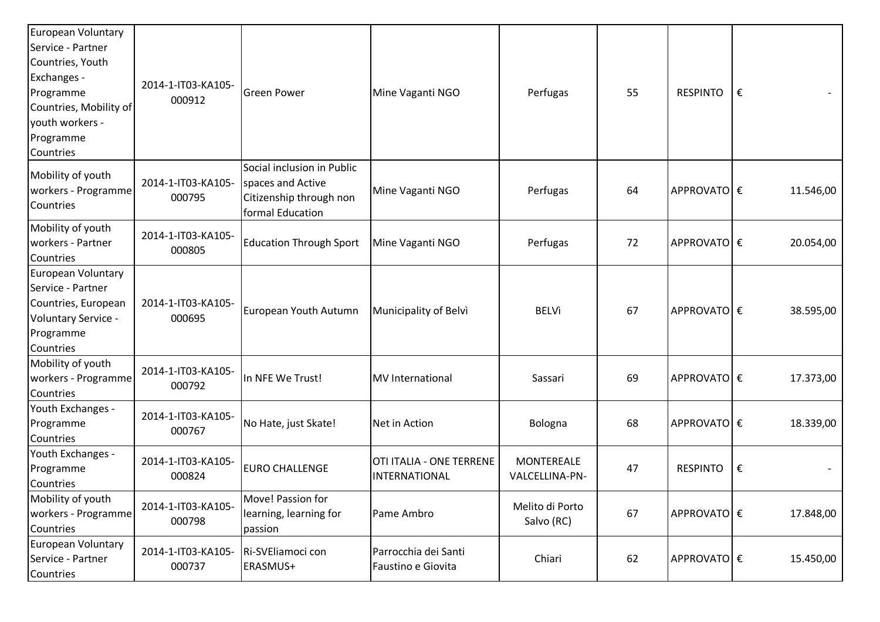| European Voluntary<br>Service - Partner<br>Countries, Youth<br>Exchanges -<br>Programme<br>Countries, Mobility of<br>youth workers -<br>Programme<br>Countries | 2014-1-IT03-KA105-<br>000912 | <b>Green Power</b>                                                                             | Mine Vaganti NGO                                 | Perfugas                            | 55 | <b>RESPINTO</b> | € |           |
|----------------------------------------------------------------------------------------------------------------------------------------------------------------|------------------------------|------------------------------------------------------------------------------------------------|--------------------------------------------------|-------------------------------------|----|-----------------|---|-----------|
| Mobility of youth<br>workers - Programme<br>Countries                                                                                                          | 2014-1-IT03-KA105-<br>000795 | Social inclusion in Public<br>spaces and Active<br>Citizenship through non<br>formal Education | Mine Vaganti NGO                                 | Perfugas                            | 64 | APPROVATO €     |   | 11.546,00 |
| Mobility of youth<br>workers - Partner<br>Countries                                                                                                            | 2014-1-IT03-KA105-<br>000805 | <b>Education Through Sport</b>                                                                 | Mine Vaganti NGO                                 | Perfugas                            | 72 | APPROVATO €     |   | 20.054,00 |
| European Voluntary<br>Service - Partner<br>Countries, European<br>Voluntary Service -<br>Programme<br>Countries                                                | 2014-1-IT03-KA105-<br>000695 | European Youth Autumn                                                                          | Municipality of Belvi                            | <b>BELVì</b>                        | 67 | APPROVATO €     |   | 38.595,00 |
| Mobility of youth<br>workers - Programme<br>Countries                                                                                                          | 2014-1-IT03-KA105-<br>000792 | In NFE We Trust!                                                                               | <b>MV</b> International                          | Sassari                             | 69 | APPROVATO €     |   | 17.373,00 |
| Youth Exchanges -<br>Programme<br>Countries                                                                                                                    | 2014-1-IT03-KA105-<br>000767 | No Hate, just Skate!                                                                           | Net in Action                                    | Bologna                             | 68 | APPROVATO €     |   | 18.339,00 |
| Youth Exchanges -<br>Programme<br>Countries                                                                                                                    | 2014-1-IT03-KA105-<br>000824 | <b>EURO CHALLENGE</b>                                                                          | OTI ITALIA - ONE TERRENE<br><b>INTERNATIONAL</b> | <b>MONTEREALE</b><br>VALCELLINA-PN- | 47 | <b>RESPINTO</b> | € |           |
| Mobility of youth<br>workers - Programme<br>Countries                                                                                                          | 2014-1-IT03-KA105-<br>000798 | Move! Passion for<br>learning, learning for<br>passion                                         | Pame Ambro                                       | Melito di Porto<br>Salvo (RC)       | 67 | APPROVATO €     |   | 17.848,00 |
| European Voluntary<br>Service - Partner<br>Countries                                                                                                           | 2014-1-IT03-KA105-<br>000737 | Ri-SVEliamoci con<br>ERASMUS+                                                                  | Parrocchia dei Santi<br>Faustino e Giovita       | Chiari                              | 62 | APPROVATO €     |   | 15.450,00 |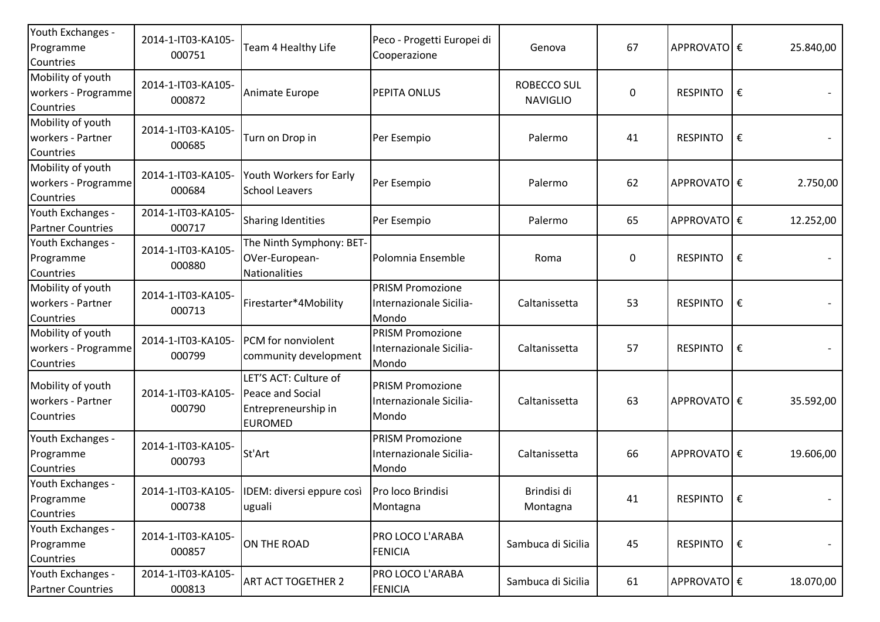| Youth Exchanges -<br>Programme<br>Countries           | 2014-1-IT03-KA105-<br>000751 | Team 4 Healthy Life                                                                | Peco - Progetti Europei di<br>Cooperazione                         | Genova                         | 67               | APPROVATO €     |            | 25.840,00 |
|-------------------------------------------------------|------------------------------|------------------------------------------------------------------------------------|--------------------------------------------------------------------|--------------------------------|------------------|-----------------|------------|-----------|
| Mobility of youth<br>workers - Programme<br>Countries | 2014-1-IT03-KA105-<br>000872 | Animate Europe                                                                     | PEPITA ONLUS                                                       | ROBECCO SUL<br><b>NAVIGLIO</b> | 0                | <b>RESPINTO</b> | €          |           |
| Mobility of youth<br>workers - Partner<br>Countries   | 2014-1-IT03-KA105-<br>000685 | Turn on Drop in                                                                    | Per Esempio                                                        | Palermo                        | 41               | <b>RESPINTO</b> | €          |           |
| Mobility of youth<br>workers - Programme<br>Countries | 2014-1-IT03-KA105-<br>000684 | Youth Workers for Early<br><b>School Leavers</b>                                   | Per Esempio                                                        | Palermo                        | 62               | APPROVATO €     |            | 2.750,00  |
| Youth Exchanges -<br><b>Partner Countries</b>         | 2014-1-IT03-KA105-<br>000717 | <b>Sharing Identities</b>                                                          | Per Esempio                                                        | Palermo                        | 65               | APPROVATO €     |            | 12.252,00 |
| Youth Exchanges -<br>Programme<br>Countries           | 2014-1-IT03-KA105-<br>000880 | The Ninth Symphony: BET-<br>OVer-European-<br>Nationalities                        | Polomnia Ensemble                                                  | Roma                           | $\boldsymbol{0}$ | <b>RESPINTO</b> | €          |           |
| Mobility of youth<br>workers - Partner<br>Countries   | 2014-1-IT03-KA105-<br>000713 | Firestarter*4Mobility                                                              | <b>PRISM Promozione</b><br>Internazionale Sicilia-<br><b>Mondo</b> | Caltanissetta                  | 53               | <b>RESPINTO</b> | €          |           |
| Mobility of youth<br>workers - Programme<br>Countries | 2014-1-IT03-KA105-<br>000799 | PCM for nonviolent<br>community development                                        | <b>PRISM Promozione</b><br>Internazionale Sicilia-<br>Mondo        | Caltanissetta                  | 57               | <b>RESPINTO</b> | €          |           |
| Mobility of youth<br>workers - Partner<br>Countries   | 2014-1-IT03-KA105-<br>000790 | LET'S ACT: Culture of<br>Peace and Social<br>Entrepreneurship in<br><b>EUROMED</b> | <b>PRISM Promozione</b><br>Internazionale Sicilia-<br>Mondo        | Caltanissetta                  | 63               | APPROVATO €     |            | 35.592,00 |
| Youth Exchanges -<br>Programme<br>Countries           | 2014-1-IT03-KA105-<br>000793 | St'Art                                                                             | <b>PRISM Promozione</b><br>Internazionale Sicilia-<br>Mondo        | Caltanissetta                  | 66               | APPROVATO €     |            | 19.606,00 |
| Youth Exchanges -<br>Programme<br>Countries           | 000738                       | 2014-1-IT03-KA105- IDEM: diversi eppure così Pro loco Brindisi<br>uguali           | Montagna                                                           | Brindisi di<br>Montagna        | 41               | <b>RESPINTO</b> | l€         | $-$       |
| Youth Exchanges -<br>Programme<br>Countries           | 2014-1-IT03-KA105-<br>000857 | ON THE ROAD                                                                        | PRO LOCO L'ARABA<br><b>FENICIA</b>                                 | Sambuca di Sicilia             | 45               | <b>RESPINTO</b> | $\epsilon$ |           |
| Youth Exchanges -<br><b>Partner Countries</b>         | 2014-1-IT03-KA105-<br>000813 | <b>ART ACT TOGETHER 2</b>                                                          | PRO LOCO L'ARABA<br><b>FENICIA</b>                                 | Sambuca di Sicilia             | 61               | APPROVATO €     |            | 18.070,00 |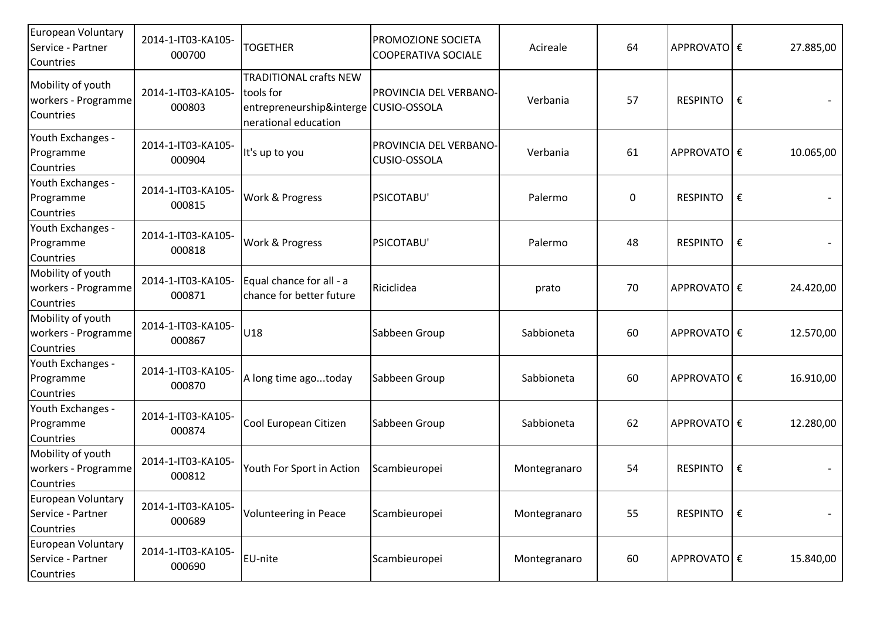| European Voluntary<br>Service - Partner<br>Countries        | 2014-1-IT03-KA105-<br>000700 | <b>TOGETHER</b>                                                                                             | PROMOZIONE SOCIETA<br><b>COOPERATIVA SOCIALE</b> | Acireale     | 64 | APPROVATO €     |   | 27.885,00 |
|-------------------------------------------------------------|------------------------------|-------------------------------------------------------------------------------------------------------------|--------------------------------------------------|--------------|----|-----------------|---|-----------|
| Mobility of youth<br>workers - Programme<br>Countries       | 2014-1-IT03-KA105-<br>000803 | <b>TRADITIONAL crafts NEW</b><br>tools for<br>entrepreneurship&interge CUSIO-OSSOLA<br>nerational education | PROVINCIA DEL VERBANO-                           | Verbania     | 57 | <b>RESPINTO</b> | € |           |
| Youth Exchanges -<br>Programme<br>Countries                 | 2014-1-IT03-KA105-<br>000904 | It's up to you                                                                                              | PROVINCIA DEL VERBANO-<br>CUSIO-OSSOLA           | Verbania     | 61 | APPROVATO €     |   | 10.065,00 |
| Youth Exchanges -<br>Programme<br>Countries                 | 2014-1-IT03-KA105-<br>000815 | Work & Progress                                                                                             | PSICOTABU'                                       | Palermo      | 0  | <b>RESPINTO</b> | € |           |
| Youth Exchanges -<br>Programme<br>Countries                 | 2014-1-IT03-KA105-<br>000818 | Work & Progress                                                                                             | PSICOTABU'                                       | Palermo      | 48 | <b>RESPINTO</b> | € |           |
| Mobility of youth<br>workers - Programme<br>Countries       | 2014-1-IT03-KA105-<br>000871 | Equal chance for all - a<br>chance for better future                                                        | Riciclidea                                       | prato        | 70 | APPROVATO  €    |   | 24.420,00 |
| Mobility of youth<br>workers - Programme<br>Countries       | 2014-1-IT03-KA105-<br>000867 | U <sub>18</sub>                                                                                             | Sabbeen Group                                    | Sabbioneta   | 60 | APPROVATO €     |   | 12.570,00 |
| Youth Exchanges -<br>Programme<br>Countries                 | 2014-1-IT03-KA105-<br>000870 | A long time agotoday                                                                                        | Sabbeen Group                                    | Sabbioneta   | 60 | APPROVATO €     |   | 16.910,00 |
| Youth Exchanges -<br>Programme<br>Countries                 | 2014-1-IT03-KA105-<br>000874 | Cool European Citizen                                                                                       | Sabbeen Group                                    | Sabbioneta   | 62 | APPROVATO €     |   | 12.280,00 |
| Mobility of youth<br>workers - Programme<br>Countries       | 2014-1-IT03-KA105-<br>000812 | Youth For Sport in Action                                                                                   | Scambieuropei                                    | Montegranaro | 54 | <b>RESPINTO</b> | € |           |
| <b>European Voluntary</b><br>Service - Partner<br>Countries | 2014-1-IT03-KA105-<br>000689 | <b>Volunteering in Peace</b>                                                                                | Scambieuropei                                    | Montegranaro | 55 | <b>RESPINTO</b> | € |           |
| <b>European Voluntary</b><br>Service - Partner<br>Countries | 2014-1-IT03-KA105-<br>000690 | EU-nite                                                                                                     | Scambieuropei                                    | Montegranaro | 60 | APPROVATO €     |   | 15.840,00 |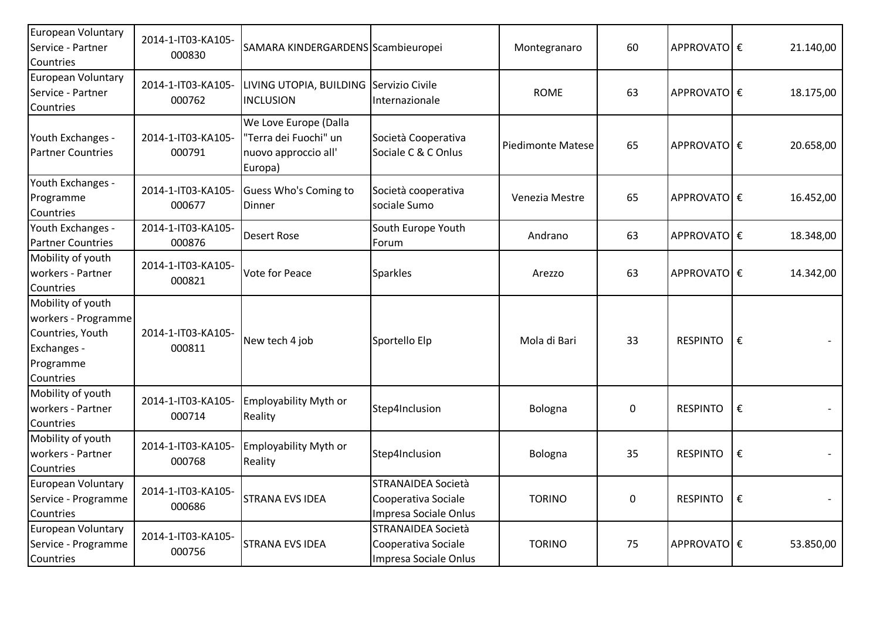| <b>European Voluntary</b><br>Service - Partner                                                        | 2014-1-IT03-KA105-           | SAMARA KINDERGARDENS Scambieuropei                                                |                                                                    | Montegranaro             | 60 | APPROVATOE€     |   | 21.140,00 |
|-------------------------------------------------------------------------------------------------------|------------------------------|-----------------------------------------------------------------------------------|--------------------------------------------------------------------|--------------------------|----|-----------------|---|-----------|
| Countries                                                                                             | 000830                       |                                                                                   |                                                                    |                          |    |                 |   |           |
| European Voluntary<br>Service - Partner<br>Countries                                                  | 2014-1-IT03-KA105-<br>000762 | LIVING UTOPIA, BUILDING Servizio Civile<br><b>INCLUSION</b>                       | Internazionale                                                     | <b>ROME</b>              | 63 | APPROVATO €     |   | 18.175,00 |
| Youth Exchanges -<br><b>Partner Countries</b>                                                         | 2014-1-IT03-KA105-<br>000791 | We Love Europe (Dalla<br>"Terra dei Fuochi" un<br>nuovo approccio all'<br>Europa) | Società Cooperativa<br>Sociale C & C Onlus                         | <b>Piedimonte Matese</b> | 65 | APPROVATO €     |   | 20.658,00 |
| Youth Exchanges -<br>Programme<br>Countries                                                           | 2014-1-IT03-KA105-<br>000677 | Guess Who's Coming to<br>Dinner                                                   | Società cooperativa<br>sociale Sumo                                | Venezia Mestre           | 65 | APPROVATOE€     |   | 16.452,00 |
| Youth Exchanges -<br><b>Partner Countries</b>                                                         | 2014-1-IT03-KA105-<br>000876 | Desert Rose                                                                       | South Europe Youth<br>Forum                                        | Andrano                  | 63 | APPROVATOE€     |   | 18.348,00 |
| Mobility of youth<br>workers - Partner<br>Countries                                                   | 2014-1-IT03-KA105-<br>000821 | Vote for Peace                                                                    | <b>Sparkles</b>                                                    | Arezzo                   | 63 | APPROVATOE€     |   | 14.342,00 |
| Mobility of youth<br>workers - Programme<br>Countries, Youth<br>Exchanges -<br>Programme<br>Countries | 2014-1-IT03-KA105-<br>000811 | New tech 4 job                                                                    | Sportello Elp                                                      | Mola di Bari             | 33 | <b>RESPINTO</b> | € |           |
| Mobility of youth<br>workers - Partner<br>Countries                                                   | 2014-1-IT03-KA105-<br>000714 | Employability Myth or<br>Reality                                                  | Step4Inclusion                                                     | Bologna                  | 0  | <b>RESPINTO</b> | € |           |
| Mobility of youth<br>workers - Partner<br>Countries                                                   | 2014-1-IT03-KA105-<br>000768 | Employability Myth or<br>Reality                                                  | Step4Inclusion                                                     | Bologna                  | 35 | <b>RESPINTO</b> | € |           |
| European Voluntary<br>Service - Programme<br>Countries                                                | 2014-1-IT03-KA105-<br>000686 | <b>STRANA EVS IDEA</b>                                                            | STRANAIDEA Società<br>Cooperativa Sociale<br>Impresa Sociale Onlus | <b>TORINO</b>            | 0  | RESPINTO        | € |           |
| European Voluntary<br>Service - Programme<br>Countries                                                | 2014-1-IT03-KA105-<br>000756 | <b>STRANA EVS IDEA</b>                                                            | STRANAIDEA Società<br>Cooperativa Sociale<br>Impresa Sociale Onlus | <b>TORINO</b>            | 75 | APPROVATO €     |   | 53.850,00 |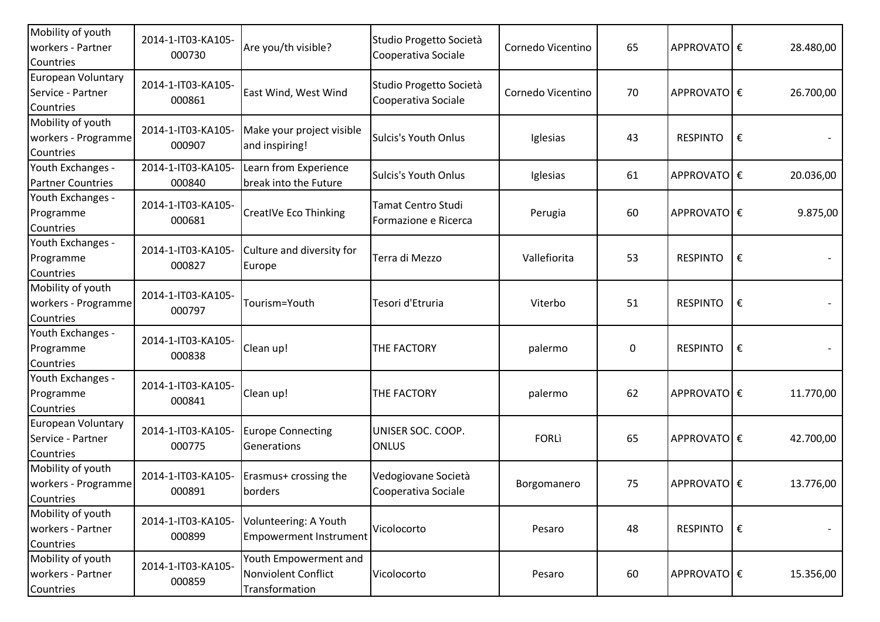| Mobility of youth<br>workers - Partner<br>Countries   | 2014-1-IT03-KA105-<br>000730 | Are you/th visible?                                            | Studio Progetto Società<br>Cooperativa Sociale    | Cornedo Vicentino | 65        | APPROVATOE€     |   | 28.480,00         |
|-------------------------------------------------------|------------------------------|----------------------------------------------------------------|---------------------------------------------------|-------------------|-----------|-----------------|---|-------------------|
| European Voluntary<br>Service - Partner<br>Countries  | 2014-1-IT03-KA105-<br>000861 | East Wind, West Wind                                           | Studio Progetto Società<br>Cooperativa Sociale    | Cornedo Vicentino | 70        | APPROVATO €     |   | 26.700,00         |
| Mobility of youth<br>workers - Programme<br>Countries | 2014-1-IT03-KA105-<br>000907 | Make your project visible<br>and inspiring!                    | <b>Sulcis's Youth Onlus</b>                       | Iglesias          | 43        | <b>RESPINTO</b> | € |                   |
| Youth Exchanges -<br><b>Partner Countries</b>         | 2014-1-IT03-KA105-<br>000840 | Learn from Experience<br>break into the Future                 | <b>Sulcis's Youth Onlus</b>                       | Iglesias          | 61        | APPROVATOE€     |   | 20.036,00         |
| Youth Exchanges -<br>Programme<br>Countries           | 2014-1-IT03-KA105-<br>000681 | CreatIVe Eco Thinking                                          | <b>Tamat Centro Studi</b><br>Formazione e Ricerca | Perugia           | 60        | APPROVATO €     |   | 9.875,00          |
| Youth Exchanges -<br>Programme<br>Countries           | 2014-1-IT03-KA105-<br>000827 | Culture and diversity for<br>Europe                            | Terra di Mezzo                                    | Vallefiorita      | 53        | <b>RESPINTO</b> | € |                   |
| Mobility of youth<br>workers - Programme<br>Countries | 2014-1-IT03-KA105-<br>000797 | Tourism=Youth                                                  | Tesori d'Etruria                                  | Viterbo           | 51        | <b>RESPINTO</b> | € | $\qquad \qquad -$ |
| Youth Exchanges -<br>Programme<br>Countries           | 2014-1-IT03-KA105-<br>000838 | Clean up!                                                      | THE FACTORY                                       | palermo           | $\pmb{0}$ | <b>RESPINTO</b> | € |                   |
| Youth Exchanges -<br>Programme<br>Countries           | 2014-1-IT03-KA105-<br>000841 | Clean up!                                                      | THE FACTORY                                       | palermo           | 62        | APPROVATO €     |   | 11.770,00         |
| European Voluntary<br>Service - Partner<br>Countries  | 2014-1-IT03-KA105-<br>000775 | <b>Europe Connecting</b><br>Generations                        | UNISER SOC. COOP.<br><b>ONLUS</b>                 | <b>FORLI</b>      | 65        | APPROVATO €     |   | 42.700,00         |
| Mobility of youth<br>workers - Programme<br>Countries | 2014-1-IT03-KA105-<br>000891 | Erasmus+ crossing the<br>borders                               | Vedogiovane Società<br>Cooperativa Sociale        | Borgomanero       | 75        | APPROVATO €     |   | 13.776,00         |
| Mobility of youth<br>workers - Partner<br>Countries   | 2014-1-IT03-KA105-<br>000899 | Volunteering: A Youth<br><b>Empowerment Instrument</b>         | Vicolocorto                                       | Pesaro            | 48        | RESPINTO        | € |                   |
| Mobility of youth<br>workers - Partner<br>Countries   | 2014-1-IT03-KA105-<br>000859 | Youth Empowerment and<br>Nonviolent Conflict<br>Transformation | Vicolocorto                                       | Pesaro            | 60        | APPROVATO €     |   | 15.356,00         |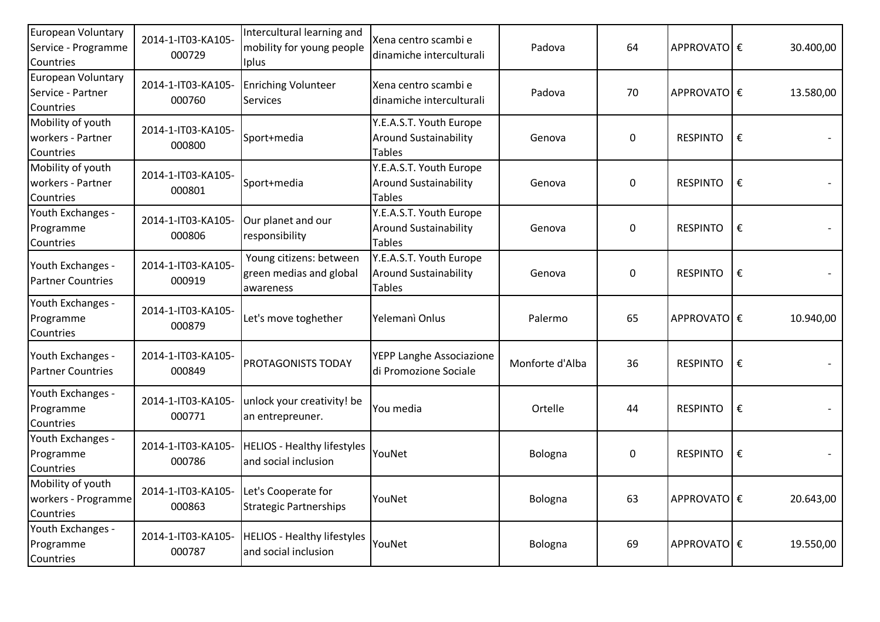| APPROVATO €     |   |                                                          |
|-----------------|---|----------------------------------------------------------|
|                 |   | 30.400,00                                                |
|                 |   | 13.580,00                                                |
| <b>RESPINTO</b> | € |                                                          |
| <b>RESPINTO</b> | € |                                                          |
| <b>RESPINTO</b> | € |                                                          |
| <b>RESPINTO</b> | € |                                                          |
|                 |   | 10.940,00                                                |
| <b>RESPINTO</b> | € |                                                          |
| <b>RESPINTO</b> | € |                                                          |
| <b>RESPINTO</b> | € |                                                          |
|                 |   | 20.643,00                                                |
|                 |   | 19.550,00                                                |
|                 |   | APPROVATO €<br>APPROVATO €<br>APPROVATO €<br>APPROVATO € |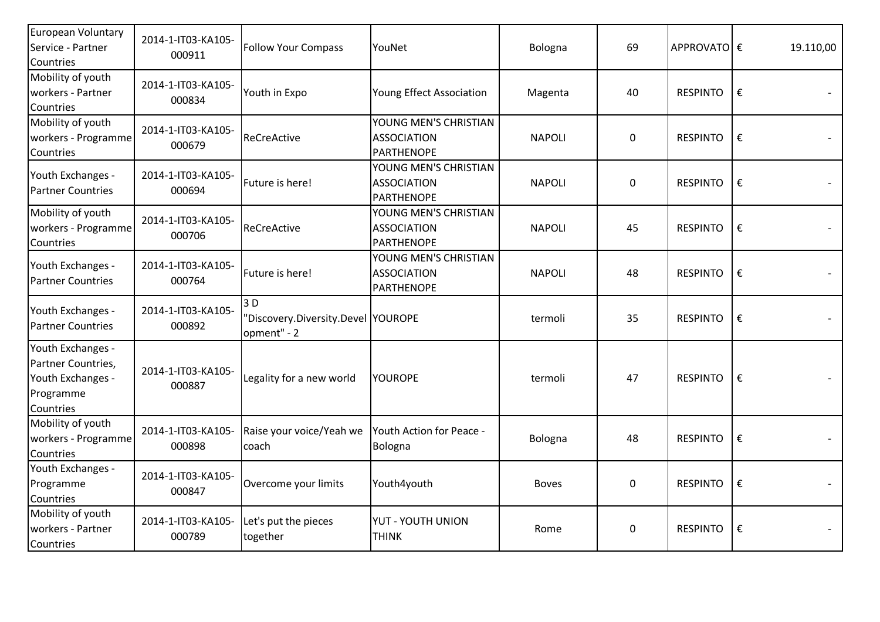| European Voluntary<br>Service - Partner<br>Countries                                   | 2014-1-IT03-KA105-<br>000911 | <b>Follow Your Compass</b>                               | YouNet                                                           | Bologna       | 69          | APPROVATO €     |   | 19.110,00 |
|----------------------------------------------------------------------------------------|------------------------------|----------------------------------------------------------|------------------------------------------------------------------|---------------|-------------|-----------------|---|-----------|
| Mobility of youth<br>workers - Partner<br>Countries                                    | 2014-1-IT03-KA105-<br>000834 | Youth in Expo                                            | Young Effect Association                                         | Magenta       | 40          | <b>RESPINTO</b> | € |           |
| Mobility of youth<br>workers - Programme<br>Countries                                  | 2014-1-IT03-KA105-<br>000679 | ReCreActive                                              | YOUNG MEN'S CHRISTIAN<br><b>ASSOCIATION</b><br><b>PARTHENOPE</b> | <b>NAPOLI</b> | $\mathbf 0$ | <b>RESPINTO</b> | € |           |
| Youth Exchanges -<br><b>Partner Countries</b>                                          | 2014-1-IT03-KA105-<br>000694 | Future is here!                                          | YOUNG MEN'S CHRISTIAN<br><b>ASSOCIATION</b><br><b>PARTHENOPE</b> | <b>NAPOLI</b> | $\mathbf 0$ | <b>RESPINTO</b> | € |           |
| Mobility of youth<br>workers - Programme<br>Countries                                  | 2014-1-IT03-KA105-<br>000706 | ReCreActive                                              | YOUNG MEN'S CHRISTIAN<br><b>ASSOCIATION</b><br>PARTHENOPE        | <b>NAPOLI</b> | 45          | <b>RESPINTO</b> | € |           |
| Youth Exchanges -<br><b>Partner Countries</b>                                          | 2014-1-IT03-KA105-<br>000764 | Future is here!                                          | YOUNG MEN'S CHRISTIAN<br><b>ASSOCIATION</b><br><b>PARTHENOPE</b> | <b>NAPOLI</b> | 48          | <b>RESPINTO</b> | € |           |
| Youth Exchanges -<br><b>Partner Countries</b>                                          | 2014-1-IT03-KA105-<br>000892 | 3 D<br>'Discovery.Diversity.Devel YOUROPE<br>opment" - 2 |                                                                  | termoli       | 35          | <b>RESPINTO</b> | € |           |
| Youth Exchanges -<br>Partner Countries,<br>Youth Exchanges -<br>Programme<br>Countries | 2014-1-IT03-KA105-<br>000887 | Legality for a new world                                 | <b>YOUROPE</b>                                                   | termoli       | 47          | <b>RESPINTO</b> | € |           |
| Mobility of youth<br>workers - Programme<br>Countries                                  | 2014-1-IT03-KA105-<br>000898 | Raise your voice/Yeah we<br>coach                        | Youth Action for Peace -<br>Bologna                              | Bologna       | 48          | <b>RESPINTO</b> | € |           |
| Youth Exchanges -<br>Programme<br>Countries                                            | 2014-1-IT03-KA105-<br>000847 | Overcome your limits                                     | Youth4youth                                                      | <b>Boves</b>  | $\mathbf 0$ | <b>RESPINTO</b> | € |           |
| Mobility of youth<br>workers - Partner<br>Countries                                    | 2014-1-IT03-KA105-<br>000789 | Let's put the pieces<br>together                         | YUT - YOUTH UNION<br><b>THINK</b>                                | Rome          | 0           | <b>RESPINTO</b> | € |           |